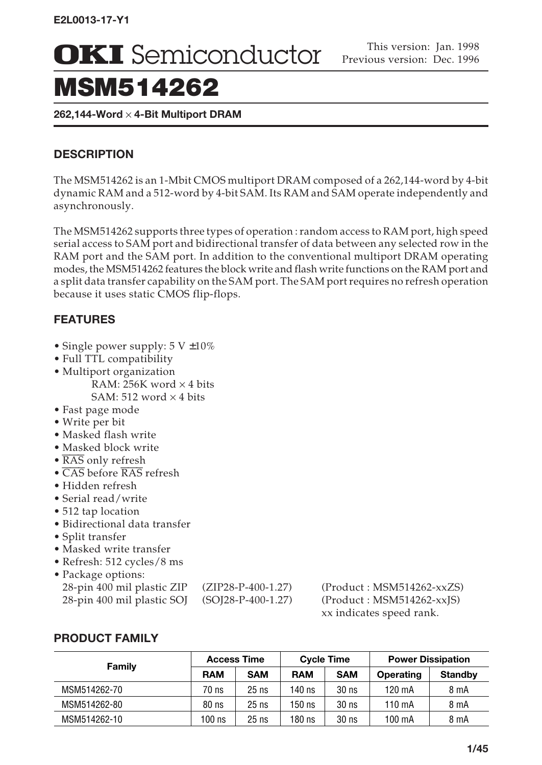# MSM514262

**262,144-Word** ¥ **4-Bit Multiport DRAM**

# **DESCRIPTION**

The MSM514262 is an 1-Mbit CMOS multiport DRAM composed of a 262,144-word by 4-bit dynamic RAM and a 512-word by 4-bit SAM. Its RAM and SAM operate independently and asynchronously.

The MSM514262 supports three types of operation : random access to RAM port, high speed serial access to SAM port and bidirectional transfer of data between any selected row in the RAM port and the SAM port. In addition to the conventional multiport DRAM operating modes, the MSM514262 features the block write and flash write functions on the RAM port and a split data transfer capability on the SAM port. The SAM port requires no refresh operation because it uses static CMOS flip-flops.

# **FEATURES**

- Single power supply:  $5 \text{ V } \pm 10\%$
- Full TTL compatibility
- Multiport organization RAM: 256K word  $\times$  4 bits SAM: 512 word  $\times$  4 bits
- Fast page mode
- Write per bit
- Masked flash write
- Masked block write
- $\overline{\text{RAS}}$  only refresh
- CAS before RAS refresh
- Hidden refresh
- Serial read/write
- 512 tap location
- Bidirectional data transfer
- Split transfer
- Masked write transfer
- Refresh: 512 cycles/8 ms
- Package options:

| 28-pin 400 mil plastic ZIP | $(ZIP28-P-400-1.27)$  | $(Product: MSM514262-xxZZ)$  |
|----------------------------|-----------------------|------------------------------|
| 28-pin 400 mil plastic SOJ | $(SO[28-P-400-1.27)]$ | $(Product : MSM514262-xx]S)$ |

28-pin 400 mil plastic ZIP (ZIP28-P-400-1.27) (Product : MSM514262-xxZS) xx indicates speed rank.

# **PRODUCT FAMILY**

|              |            | <b>Access Time</b> |            | <b>Cycle Time</b> | <b>Power Dissipation</b> |                |  |
|--------------|------------|--------------------|------------|-------------------|--------------------------|----------------|--|
| Family       | <b>RAM</b> | <b>SAM</b>         | <b>RAM</b> | <b>SAM</b>        | Operating                | <b>Standby</b> |  |
| MSM514262-70 | 70 ns      | $25$ ns            | 140 ns     | 30 <sub>ns</sub>  | 120 mA                   | 8 m A          |  |
| MSM514262-80 | $80$ ns    | $25$ ns            | 150 ns     | 30 <sub>ns</sub>  | $110 \text{ mA}$         | 8 mA           |  |
| MSM514262-10 | 100 ns     | $25$ ns            | 180 ns     | 30 <sub>ns</sub>  | 100 mA                   | 8 mA           |  |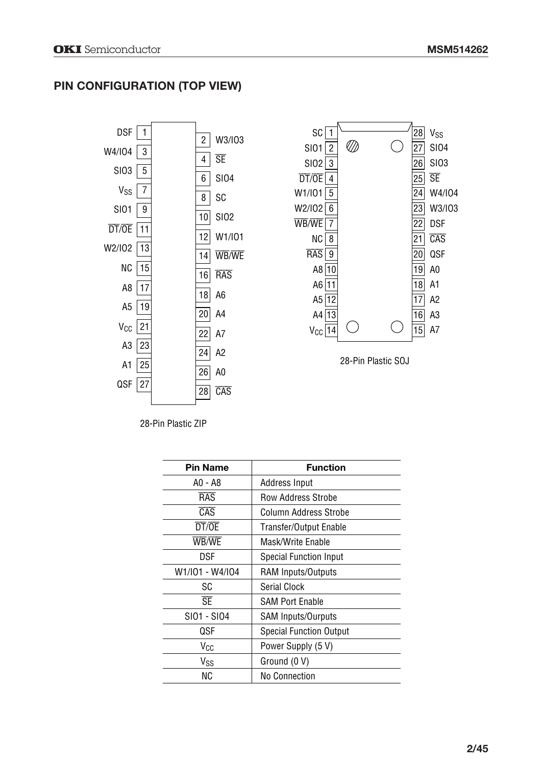# **PIN CONFIGURATION (TOP VIEW)**





28-Pin Plastic SOJ

28-Pin Plastic ZIP

| <b>Pin Name</b>  | <b>Function</b>                |  |  |  |  |
|------------------|--------------------------------|--|--|--|--|
| A0 - A8          | Address Input                  |  |  |  |  |
| <b>RAS</b>       | <b>Row Address Strobe</b>      |  |  |  |  |
| $\overline{CAS}$ | Column Address Strobe          |  |  |  |  |
| DT/OE            | Transfer/Output Enable         |  |  |  |  |
| WB/WE            | Mask/Write Fnable              |  |  |  |  |
| DSF              | Special Function Input         |  |  |  |  |
| W1/I01 - W4/I04  | RAM Inputs/Outputs             |  |  |  |  |
| SC               | Serial Clock                   |  |  |  |  |
| <b>SE</b>        | <b>SAM Port Enable</b>         |  |  |  |  |
| SI01 - SI04      | <b>SAM Inputs/Ourputs</b>      |  |  |  |  |
| QSF              | <b>Special Function Output</b> |  |  |  |  |
| Vcc              | Power Supply (5 V)             |  |  |  |  |
| V <sub>SS</sub>  | Ground (0 V)                   |  |  |  |  |
| ΝC               | <b>No Connection</b>           |  |  |  |  |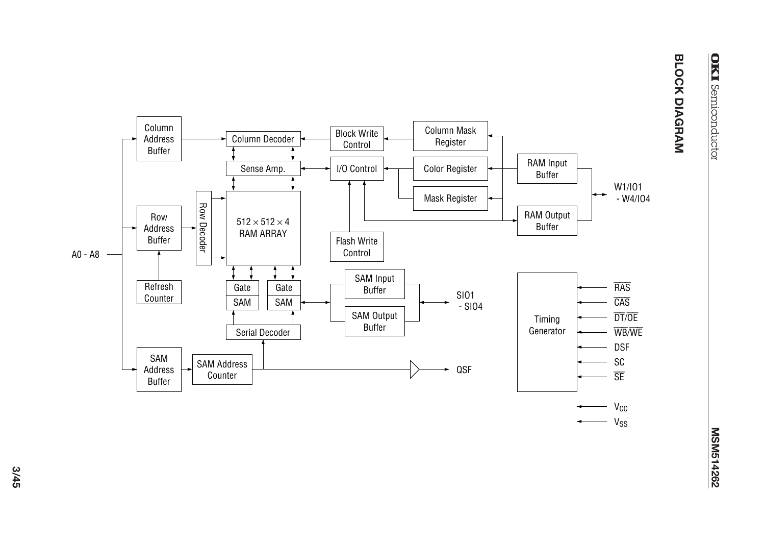

**3/45**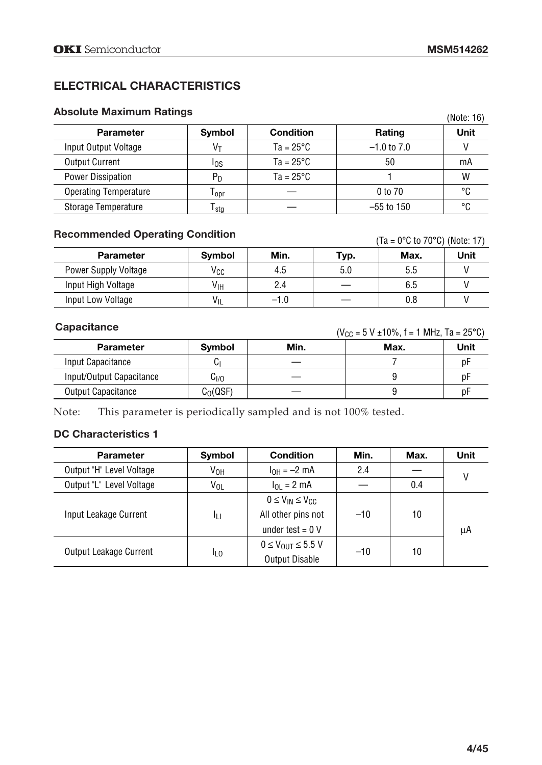# **ELECTRICAL CHARACTERISTICS**

## **Absolute Maximum Ratings**

| Absolute Maximum Ratings     |                           |                    |                 | (Note: 16) |
|------------------------------|---------------------------|--------------------|-----------------|------------|
| <b>Parameter</b>             | <b>Symbol</b>             | <b>Condition</b>   | Rating          | Unit       |
| Input Output Voltage         | Vт                        | $Ta = 25^{\circ}C$ | $-1.0$ to $7.0$ |            |
| <b>Output Current</b>        | los                       | $Ta = 25^{\circ}C$ | 50              | mA         |
| <b>Power Dissipation</b>     | $P_D$                     | $Ta = 25^{\circ}C$ |                 | W          |
| <b>Operating Temperature</b> | $\mathsf{r}_\mathsf{opr}$ |                    | 0 to 70         | °۲         |
| Storage Temperature          | $\mathsf{T}_{\text{stg}}$ |                    | $-55$ to 150    | °۲         |

# **Recommended Operating Condition**

(Ta = 0°C to 70°C) (Note: 17)

| <b>Parameter</b>            | Symbol          | Min.   | Typ. | Max. | Unit |
|-----------------------------|-----------------|--------|------|------|------|
| <b>Power Supply Voltage</b> | Vcc             | 4.5    | 5.0  | ხ.ხ  |      |
| Input High Voltage          | V <sub>IH</sub> | 2.4    |      | 6.5  |      |
| Input Low Voltage           | VIL             | $-1.0$ |      | 0.8  |      |

#### **Capacitance**

 $(V_{CC} = 5 V \pm 10\%, f = 1 MHz, Ta = 25°C)$ 

| <b>Parameter</b>          | Symbol     | Min. | Max. | Unit |
|---------------------------|------------|------|------|------|
| Input Capacitance         | UI         |      |      | Dŀ   |
| Input/Output Capacitance  | Cı/o       |      |      | рŀ   |
| <b>Output Capacitance</b> | $C0($ QSF) |      |      | рŀ   |

Note: This parameter is periodically sampled and is not 100% tested.

## **DC Characteristics 1**

| <b>Parameter</b>         | Symbol          | <b>Condition</b>                   | Min.  | Max. | <b>Unit</b> |
|--------------------------|-----------------|------------------------------------|-------|------|-------------|
| Output "H" Level Voltage | V <sub>OH</sub> | $I_{OH} = -2$ mA                   | 2.4   |      | ۷           |
| Output "L" Level Voltage | V <sub>OL</sub> | $I_{OL} = 2 mA$                    |       | 0.4  |             |
|                          |                 | $0 \leq V_{IN} \leq V_{CC}$        |       |      |             |
| Input Leakage Current    | ĪЦ              | All other pins not                 | $-10$ | 10   |             |
|                          |                 | under test = $0 V$                 |       |      | μA          |
|                          |                 | $0 \leq V_{\text{OUT}} \leq 5.5$ V | $-10$ | 10   |             |
| Output Leakage Current   | ILO             | <b>Output Disable</b>              |       |      |             |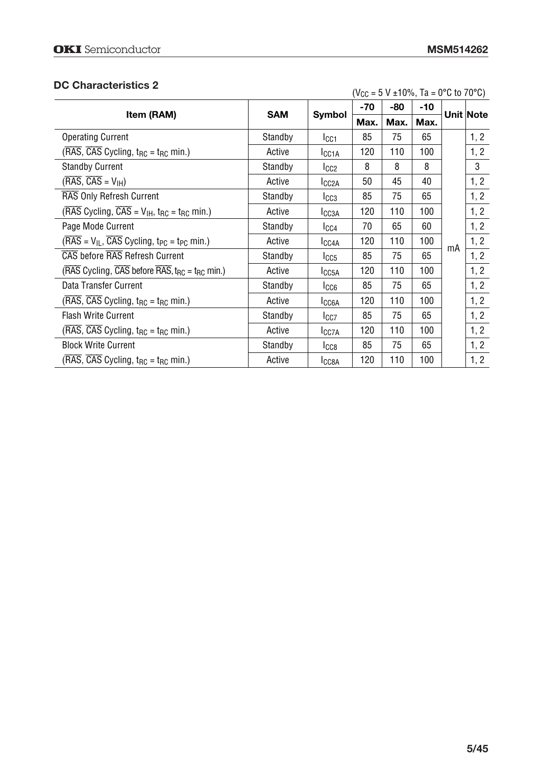## **DC Characteristics 2**

| DU Unaracterístics 2                                                                                                                |            | $(V_{CC} = 5 V \pm 10\%, Ta = 0\degree C$ to 70 $\degree C$ ) |       |      |      |    |           |
|-------------------------------------------------------------------------------------------------------------------------------------|------------|---------------------------------------------------------------|-------|------|------|----|-----------|
|                                                                                                                                     | <b>SAM</b> | <b>Symbol</b>                                                 | $-70$ | -80  | -10  |    | Unit Note |
| Item (RAM)                                                                                                                          |            |                                                               | Max.  | Max. | Max. |    |           |
| <b>Operating Current</b>                                                                                                            | Standby    | I <sub>CC1</sub>                                              | 85    | 75   | 65   |    | 1, 2      |
| $(RAS, CAS$ Cycling, $t_{RC}$ = $t_{RC}$ min.)                                                                                      | Active     | I <sub>CC1A</sub>                                             | 120   | 110  | 100  |    | 1, 2      |
| <b>Standby Current</b>                                                                                                              | Standby    | I <sub>CC2</sub>                                              | 8     | 8    | 8    |    | 3         |
| $(RAS, CAS = VIH)$                                                                                                                  | Active     | I <sub>CC2A</sub>                                             | 50    | 45   | 40   |    | 1, 2      |
| RAS Only Refresh Current                                                                                                            | Standby    | $_{\text{ICG3}}$                                              | 85    | 75   | 65   |    | 1, 2      |
| ( $\overline{\text{RAS}}$ Cycling, $\overline{\text{CAS}}$ = V <sub>IH</sub> , t <sub>RC</sub> = t <sub>RC</sub> min.)              | Active     | I <sub>CC3A</sub>                                             | 120   | 110  | 100  |    | 1, 2      |
| Page Mode Current                                                                                                                   | Standby    | lcc4                                                          | 70    | 65   | 60   |    | 1, 2      |
| $(RAS = VIL, \overline{CAS} Cyclicing, t_{PC} = t_{PC} min.)$                                                                       | Active     | I <sub>CC4A</sub>                                             | 120   | 110  | 100  | mA | 1, 2      |
| CAS before RAS Refresh Current                                                                                                      | Standby    | $I_{CC5}$                                                     | 85    | 75   | 65   |    | 1, 2      |
| ( $\overline{\text{RAS}}$ Cycling, $\overline{\text{CAS}}$ before $\overline{\text{RAS}}$ , t <sub>RC</sub> = t <sub>RC</sub> min.) | Active     | I <sub>CC5A</sub>                                             | 120   | 110  | 100  |    | 1, 2      |
| Data Transfer Current                                                                                                               | Standby    | $_{\text{LCG}}$                                               | 85    | 75   | 65   |    | 1, 2      |
| $(\overline{\text{RAS}}, \overline{\text{CAS}}$ Cycling, $t_{\text{RC}} = t_{\text{RC}}$ min.)                                      | Active     | I <sub>CC6A</sub>                                             | 120   | 110  | 100  |    | 1, 2      |
| <b>Flash Write Current</b>                                                                                                          | Standby    | $I_{CC7}$                                                     | 85    | 75   | 65   |    | 1, 2      |
| $(RAS, \overline{CAS}$ Cycling, $t_{RC} = t_{RC}$ min.)                                                                             | Active     | I <sub>CC7A</sub>                                             | 120   | 110  | 100  |    | 1, 2      |
| <b>Block Write Current</b>                                                                                                          | Standby    | $_{\rm lCG8}$                                                 | 85    | 75   | 65   |    | 1, 2      |
| $(\overline{\text{RAS}}, \overline{\text{CAS}})$ Cycling, $t_{\text{RC}} = t_{\text{RC}}$ min.)                                     | Active     | <b>ICC8A</b>                                                  | 120   | 110  | 100  |    | 1, 2      |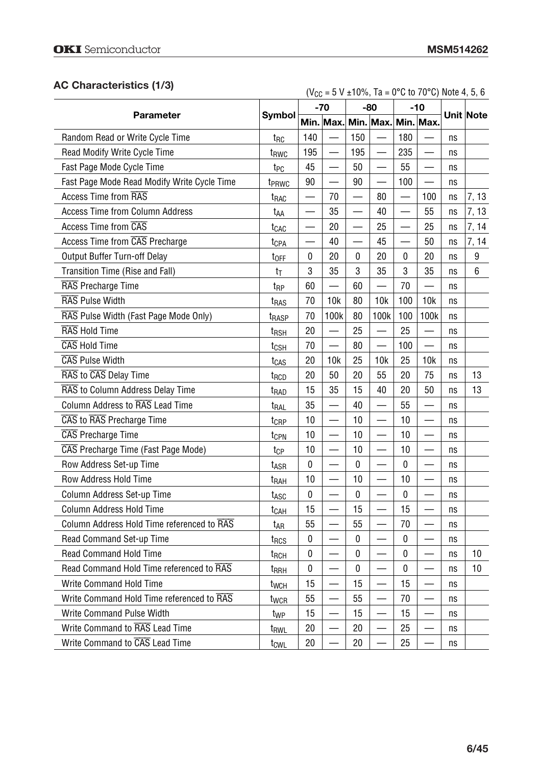# **AC Characteristics (1/3)**

| AU UNDIRIGUEIISUUS (170)                    |                   | $(V_{CC} = 5 V \pm 10\%, Ta = 0\degree C$ to 70 $\degree C$ ) Note 4, 5, 6 |                          |                          |                               |           |                          |    |           |
|---------------------------------------------|-------------------|----------------------------------------------------------------------------|--------------------------|--------------------------|-------------------------------|-----------|--------------------------|----|-----------|
|                                             |                   |                                                                            | $-70$                    |                          | $-80$                         | $-10$     |                          |    |           |
| <b>Parameter</b>                            | Symbol            |                                                                            |                          |                          | Min. Max. Min. Max. Min. Max. |           |                          |    | Unit Note |
| Random Read or Write Cycle Time             | $t_{\rm RC}$      | 140                                                                        |                          | 150                      |                               | 180       |                          | ns |           |
| Read Modify Write Cycle Time                | t <sub>RWC</sub>  | 195                                                                        |                          | 195                      |                               | 235       |                          | ns |           |
| Fast Page Mode Cycle Time                   | t <sub>PC</sub>   | 45                                                                         |                          | 50                       |                               | 55        |                          | ns |           |
| Fast Page Mode Read Modify Write Cycle Time | t <sub>PRWC</sub> | 90                                                                         | $\overline{\phantom{0}}$ | 90                       |                               | 100       |                          | ns |           |
| <b>Access Time from RAS</b>                 | t <sub>RAC</sub>  | —                                                                          | 70                       | $\overline{\phantom{0}}$ | 80                            |           | 100                      | ns | 7, 13     |
| <b>Access Time from Column Address</b>      | t <sub>AA</sub>   |                                                                            | 35                       |                          | 40                            |           | 55                       | ns | 7, 13     |
| Access Time from CAS                        | t <sub>CAC</sub>  |                                                                            | 20                       |                          | 25                            |           | 25                       | ns | 7, 14     |
| Access Time from CAS Precharge              | t <sub>CPA</sub>  |                                                                            | 40                       |                          | 45                            |           | 50                       | ns | 7, 14     |
| Output Buffer Turn-off Delay                | t <sub>OFF</sub>  | 0                                                                          | 20                       | 0                        | 20                            | 0         | 20                       | ns | 9         |
| Transition Time (Rise and Fall)             | tτ                | 3                                                                          | 35                       | 3                        | 35                            | 3         | 35                       | ns | 6         |
| RAS Precharge Time                          | t <sub>RP</sub>   | 60                                                                         | $\overline{\phantom{0}}$ | 60                       |                               | 70        | $\overline{\phantom{0}}$ | ns |           |
| RAS Pulse Width                             | t <sub>RAS</sub>  | 70                                                                         | 10k                      | 80                       | 10k                           | 100       | 10k                      | ns |           |
| RAS Pulse Width (Fast Page Mode Only)       | t <sub>RASP</sub> | 70                                                                         | 100k                     | 80                       | 100k                          | 100       | 100k                     | ns |           |
| RAS Hold Time                               | $t_{RSH}$         | 20                                                                         |                          | 25                       |                               | 25        |                          | ns |           |
| CAS Hold Time                               | t <sub>CSH</sub>  | 70                                                                         | $\overline{\phantom{0}}$ | 80                       |                               | 100       |                          | ns |           |
| <b>CAS Pulse Width</b>                      | t <sub>CAS</sub>  | 20                                                                         | 10k                      | 25                       | 10k                           | 25        | 10k                      | ns |           |
| RAS to CAS Delay Time                       | t <sub>RCD</sub>  | 20                                                                         | 50                       | 20                       | 55                            | 20        | 75                       | ns | 13        |
| RAS to Column Address Delay Time            | t <sub>rad</sub>  | 15                                                                         | 35                       | 15                       | 40                            | 20        | 50                       | ns | 13        |
| Column Address to RAS Lead Time             | t <sub>ral</sub>  | 35                                                                         |                          | 40                       |                               | 55        |                          | ns |           |
| CAS to RAS Precharge Time                   | t <sub>CRP</sub>  | 10                                                                         | $\overline{\phantom{0}}$ | 10                       |                               | 10        | —                        | ns |           |
| <b>CAS</b> Precharge Time                   | t <sub>CPN</sub>  | 10                                                                         |                          | 10                       |                               | 10        |                          | ns |           |
| CAS Precharge Time (Fast Page Mode)         | tcp               | 10                                                                         |                          | 10                       |                               | 10        | $\overline{\phantom{0}}$ | ns |           |
| Row Address Set-up Time                     | t <sub>ASR</sub>  | $\pmb{0}$                                                                  |                          | 0                        |                               | 0         | $\overline{\phantom{0}}$ | ns |           |
| Row Address Hold Time                       | t <sub>RAH</sub>  | 10                                                                         | $\overline{\phantom{0}}$ | 10                       |                               | 10        | $\overline{\phantom{0}}$ | ns |           |
| Column Address Set-up Time                  | t <sub>ASC</sub>  | $\pmb{0}$                                                                  |                          | $\mathbf 0$              |                               | 0         |                          | ns |           |
| <b>Column Address Hold Time</b>             | t <sub>CAH</sub>  | 15                                                                         | $\overline{\phantom{0}}$ | 15                       |                               | 15        |                          | ns |           |
| Column Address Hold Time referenced to RAS  | t <sub>AR</sub>   | 55                                                                         | —                        | 55                       | $\overline{\phantom{0}}$      | 70        | $\overline{\phantom{0}}$ | ns |           |
| Read Command Set-up Time                    | t <sub>RCS</sub>  | 0                                                                          |                          | 0                        |                               | 0         |                          | ns |           |
| <b>Read Command Hold Time</b>               | t <sub>RCH</sub>  | 0                                                                          |                          | 0                        |                               | $\pmb{0}$ |                          | ns | 10        |
| Read Command Hold Time referenced to RAS    | <b>T</b> RRH      | 0                                                                          |                          | 0                        |                               | 0         |                          | ns | 10        |
| Write Command Hold Time                     | t <sub>wcH</sub>  | 15                                                                         |                          | 15                       |                               | 15        |                          | ns |           |
| Write Command Hold Time referenced to RAS   | twcR              | 55                                                                         |                          | 55                       |                               | 70        |                          | ns |           |
| Write Command Pulse Width                   | t <sub>WP</sub>   | 15                                                                         |                          | 15                       |                               | 15        |                          | ns |           |
| Write Command to RAS Lead Time              | t <sub>RWL</sub>  | 20                                                                         |                          | 20                       |                               | 25        |                          | ns |           |
| Write Command to CAS Lead Time              | t <sub>CWL</sub>  | 20                                                                         |                          | 20                       |                               | 25        |                          | ns |           |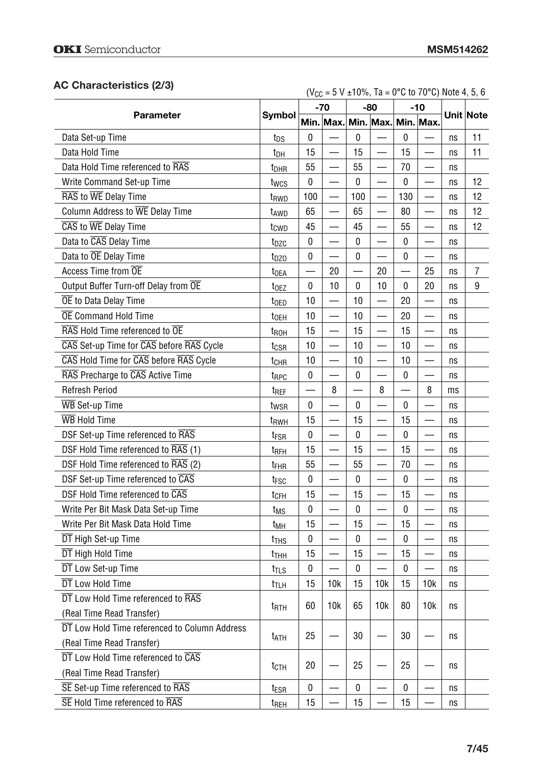# **AC Characteristics (2/3)**

| AC Characterístics (2/3)                      |                  |     |                               |           | $(V_{CC} = 5 V \pm 10\%, Ta = 0\degree C$ to 70 $\degree C$ ) Note 4, 5, 6 |               |                          |    |                  |
|-----------------------------------------------|------------------|-----|-------------------------------|-----------|----------------------------------------------------------------------------|---------------|--------------------------|----|------------------|
|                                               |                  |     | $-70$                         |           | $-80$                                                                      | $-10$         |                          |    |                  |
| <b>Parameter</b>                              | <b>Symbol</b>    |     | Min. Max. Min. Max. Min. Max. |           |                                                                            |               |                          |    | <b>Unit Note</b> |
| Data Set-up Time                              | t <sub>DS</sub>  | 0   |                               | 0         |                                                                            | 0             |                          | ns | 11               |
| Data Hold Time                                | t <sub>DH</sub>  | 15  |                               | 15        |                                                                            | 15            |                          | ns | 11               |
| Data Hold Time referenced to RAS              | t <sub>DHR</sub> | 55  |                               | 55        |                                                                            | 70            |                          | ns |                  |
| Write Command Set-up Time                     | twcs             | 0   |                               | $\pmb{0}$ | $\overline{\phantom{0}}$                                                   | $\pmb{0}$     |                          | ns | 12               |
| RAS to WE Delay Time                          | t <sub>RWD</sub> | 100 |                               | 100       | $\overline{\phantom{0}}$                                                   | 130           |                          | ns | 12               |
| Column Address to WE Delay Time               | t <sub>AWD</sub> | 65  |                               | 65        | —                                                                          | 80            |                          | ns | 12               |
| CAS to WE Delay Time                          | tcwp             | 45  | $\overline{\phantom{0}}$      | 45        | $\overline{\phantom{0}}$                                                   | 55            |                          | ns | 12               |
| Data to CAS Delay Time                        | t <sub>DZC</sub> | 0   |                               | 0         | $\overline{\phantom{0}}$                                                   | $\bf{0}$      |                          | ns |                  |
| Data to OE Delay Time                         | t <sub>DZO</sub> | 0   |                               | 0         |                                                                            | 0             |                          | ns |                  |
| Access Time from OE                           | t <sub>OEA</sub> |     | 20                            |           | 20                                                                         | $\frac{1}{2}$ | 25                       | ns | 7                |
| Output Buffer Turn-off Delay from OE          | t <sub>OEZ</sub> | 0   | 10                            | 0         | 10                                                                         | $\mathbf 0$   | 20                       | ns | 9                |
| OE to Data Delay Time                         | toed             | 10  |                               | 10        | —                                                                          | 20            |                          | ns |                  |
| <b>OE</b> Command Hold Time                   | t <sub>OEH</sub> | 10  | $\overline{\phantom{0}}$      | 10        | $\overline{\phantom{0}}$                                                   | 20            |                          | ns |                  |
| RAS Hold Time referenced to OE                | t <sub>ROH</sub> | 15  | $\overline{\phantom{0}}$      | 15        | $\overline{\phantom{0}}$                                                   | 15            |                          | ns |                  |
| CAS Set-up Time for CAS before RAS Cycle      | t <sub>CSR</sub> | 10  |                               | 10        | $\overline{\phantom{0}}$                                                   | 10            |                          | ns |                  |
| CAS Hold Time for CAS before RAS Cycle        | t <sub>CHR</sub> | 10  |                               | 10        |                                                                            | 10            |                          | ns |                  |
| RAS Precharge to CAS Active Time              | t <sub>RPC</sub> | 0   |                               | 0         | $\overline{\phantom{0}}$                                                   | $\pmb{0}$     |                          | ns |                  |
| <b>Refresh Period</b>                         | t <sub>REF</sub> |     | 8                             |           | 8                                                                          |               | 8                        | ms |                  |
| <b>WB</b> Set-up Time                         | t <sub>wsR</sub> | 0   |                               | 0         |                                                                            | $\mathbf 0$   |                          | ns |                  |
| <b>WB</b> Hold Time                           | t <sub>RWH</sub> | 15  |                               | 15        | $\overline{\phantom{0}}$                                                   | 15            |                          | ns |                  |
| DSF Set-up Time referenced to RAS             | t <sub>FSR</sub> | 0   |                               | 0         |                                                                            | 0             | $\overline{\phantom{0}}$ | ns |                  |
| DSF Hold Time referenced to RAS (1)           | t <sub>RFH</sub> | 15  |                               | 15        |                                                                            | 15            |                          | ns |                  |
| DSF Hold Time referenced to RAS (2)           | t <sub>FHR</sub> | 55  |                               | 55        | $\overline{\phantom{0}}$                                                   | 70            | $\overline{\phantom{0}}$ | ns |                  |
| DSF Set-up Time referenced to CAS             | t <sub>FSC</sub> | 0   |                               | $\pmb{0}$ | $\overline{\phantom{0}}$                                                   | $\pmb{0}$     | $\overline{\phantom{0}}$ | ns |                  |
| DSF Hold Time referenced to CAS               | t <sub>CFH</sub> | 15  |                               | 15        |                                                                            | 15            |                          | ns |                  |
| Write Per Bit Mask Data Set-up Time           | t <sub>MS</sub>  | 0   |                               | 0         |                                                                            | 0             |                          | ns |                  |
| Write Per Bit Mask Data Hold Time             | tмн              | 15  |                               | 15        |                                                                            | 15            |                          | ns |                  |
| DT High Set-up Time                           | t <sub>THS</sub> | 0   |                               | 0         |                                                                            | $\pmb{0}$     |                          | ns |                  |
| DT High Hold Time                             | t <sub>THH</sub> | 15  |                               | 15        |                                                                            | 15            |                          | ns |                  |
| DT Low Set-up Time                            | t <sub>TLS</sub> | 0   |                               | 0         |                                                                            | 0             |                          | ns |                  |
| DT Low Hold Time                              | t <sub>t</sub>   | 15  | 10k                           | 15        | 10k                                                                        | 15            | 10k                      | ns |                  |
| DT Low Hold Time referenced to RAS            |                  |     |                               |           |                                                                            |               |                          |    |                  |
| (Real Time Read Transfer)                     | t <sub>RTH</sub> | 60  | 10k                           | 65        | 10k                                                                        | 80            | 10k                      | ns |                  |
| DT Low Hold Time referenced to Column Address |                  |     |                               |           |                                                                            |               |                          |    |                  |
| (Real Time Read Transfer)                     | t <sub>ATH</sub> | 25  |                               | 30        |                                                                            | 30            |                          | ns |                  |
| DT Low Hold Time referenced to CAS            |                  |     |                               |           |                                                                            |               |                          |    |                  |
| (Real Time Read Transfer)                     | tcth             | 20  |                               | 25        |                                                                            | 25            |                          | ns |                  |
| SE Set-up Time referenced to RAS              | t <sub>ESR</sub> | 0   |                               | 0         |                                                                            | 0             |                          | ns |                  |
| SE Hold Time referenced to RAS                | t <sub>REH</sub> | 15  |                               | 15        |                                                                            | 15            |                          | ns |                  |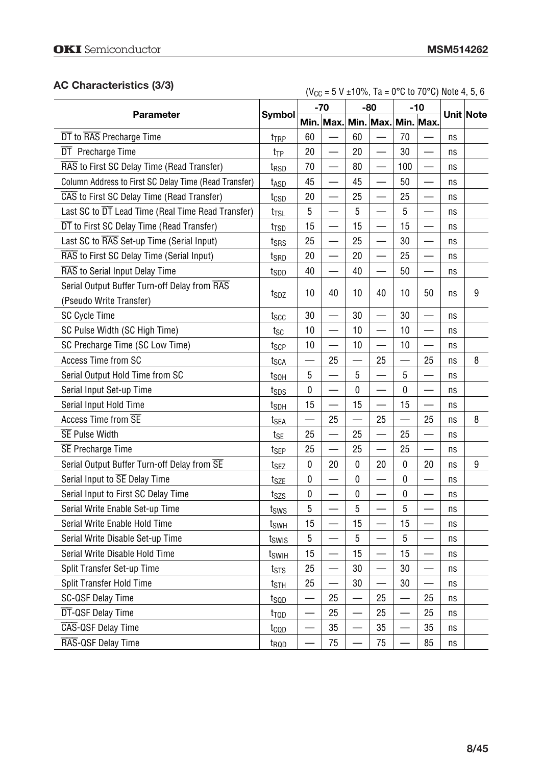# **AC Characteristics (3/3)**

| AC Characteristics (3/3)                              |                   |    |                          |                          | $(V_{CC} = 5 V \pm 10\%, Ta = 0\degree C$ to 70 $\degree C$ ) Note 4, 5, 6 |           |                          |    |           |
|-------------------------------------------------------|-------------------|----|--------------------------|--------------------------|----------------------------------------------------------------------------|-----------|--------------------------|----|-----------|
|                                                       |                   |    | $-70$                    | $-80$                    |                                                                            |           | $-10$                    |    |           |
| <b>Parameter</b>                                      | Symbol            |    |                          |                          | Min. Max. Min. Max. Min. Max.                                              |           |                          |    | Unit Note |
| DT to RAS Precharge Time                              | t <sub>TRP</sub>  | 60 |                          | 60                       |                                                                            | 70        |                          | ns |           |
| DT Precharge Time                                     | t <sub>TP</sub>   | 20 |                          | 20                       | $\overline{\phantom{0}}$                                                   | 30        |                          | ns |           |
| RAS to First SC Delay Time (Read Transfer)            | t <sub>RSD</sub>  | 70 |                          | 80                       | $\overline{\phantom{0}}$                                                   | 100       |                          | ns |           |
| Column Address to First SC Delay Time (Read Transfer) | tasd              | 45 |                          | 45                       |                                                                            | 50        |                          | ns |           |
| CAS to First SC Delay Time (Read Transfer)            | t <sub>CSD</sub>  | 20 |                          | 25                       |                                                                            | 25        |                          | ns |           |
| Last SC to DT Lead Time (Real Time Read Transfer)     | $t_{\text{TSL}}$  | 5  | —                        | 5                        | —<br>—                                                                     | 5         |                          | ns |           |
| DT to First SC Delay Time (Read Transfer)             | t <sub>TSD</sub>  | 15 |                          | 15                       | $\overline{\phantom{0}}$                                                   | 15        |                          | ns |           |
| Last SC to RAS Set-up Time (Serial Input)             | t <sub>SRS</sub>  | 25 | $\overline{\phantom{0}}$ | 25                       | $\overline{\phantom{0}}$                                                   | 30        |                          | ns |           |
| RAS to First SC Delay Time (Serial Input)             | tsrd              | 20 | —                        | 20                       | $\overline{\phantom{0}}$                                                   | 25        | $\overline{\phantom{0}}$ | ns |           |
| RAS to Serial Input Delay Time                        | t <sub>SDD</sub>  | 40 | $\overline{\phantom{0}}$ | 40                       |                                                                            | 50        |                          | ns |           |
| Serial Output Buffer Turn-off Delay from RAS          | t <sub>SDZ</sub>  | 10 | 40                       | 10                       | 40                                                                         | 10        | 50                       | ns | 9         |
| (Pseudo Write Transfer)                               |                   |    |                          |                          |                                                                            |           |                          |    |           |
| SC Cycle Time                                         | tscc              | 30 |                          | 30                       | $\overline{\phantom{0}}$                                                   | 30        |                          | ns |           |
| SC Pulse Width (SC High Time)                         | $t_{SC}$          | 10 |                          | 10                       | $\overline{\phantom{0}}$                                                   | 10        |                          | ns |           |
| SC Precharge Time (SC Low Time)                       | t <sub>SCP</sub>  | 10 | $\overline{\phantom{0}}$ | 10                       | $\overline{\phantom{0}}$                                                   | 10        |                          | ns |           |
| Access Time from SC                                   | t <sub>SCA</sub>  |    | 25                       |                          | 25                                                                         |           | 25                       | ns | 8         |
| Serial Output Hold Time from SC                       | t <sub>soh</sub>  | 5  |                          | 5                        |                                                                            | 5         |                          | ns |           |
| Serial Input Set-up Time                              | tsps              | 0  | $\overline{\phantom{0}}$ | 0                        | $\overline{\phantom{0}}$                                                   | $\pmb{0}$ |                          | ns |           |
| Serial Input Hold Time                                | t <sub>SDH</sub>  | 15 | $\overline{\phantom{0}}$ | 15                       | $\overline{\phantom{0}}$                                                   | 15        |                          | ns |           |
| Access Time from SE                                   | t <sub>SEA</sub>  |    | 25                       |                          | 25                                                                         |           | 25                       | ns | 8         |
| <b>SE Pulse Width</b>                                 | t <sub>SE</sub>   | 25 | $\overline{\phantom{0}}$ | 25                       |                                                                            | 25        | $\overline{\phantom{0}}$ | ns |           |
| <b>SE</b> Precharge Time                              | $t_{\sf SEP}$     | 25 |                          | 25                       |                                                                            | 25        |                          | ns |           |
| Serial Output Buffer Turn-off Delay from SE           | tsez              | 0  | 20                       | 0                        | 20                                                                         | 0         | 20                       | ns | 9         |
| Serial Input to <b>SE</b> Delay Time                  | t <sub>SZE</sub>  | 0  |                          | 0                        | —                                                                          | 0         |                          | ns |           |
| Serial Input to First SC Delay Time                   | tszs              | 0  |                          | $\pmb{0}$                |                                                                            | $\pmb{0}$ |                          | ns |           |
| Serial Write Enable Set-up Time                       | tsws              | 5  |                          | 5                        | $\overline{\phantom{0}}$                                                   | 5         |                          | ns |           |
| Serial Write Enable Hold Time                         | t <sub>swh</sub>  | 15 | $\overline{\phantom{0}}$ | 15                       |                                                                            | 15        |                          | ns |           |
| Serial Write Disable Set-up Time                      | tswis             | 5  |                          | 5                        | $\overline{\phantom{0}}$                                                   | 5         |                          | ns |           |
| Serial Write Disable Hold Time                        | t <sub>swiH</sub> | 15 |                          | 15                       |                                                                            | 15        |                          | ns |           |
| Split Transfer Set-up Time                            | tsts              | 25 |                          | 30                       |                                                                            | 30        |                          | ns |           |
| Split Transfer Hold Time                              | t <sub>STH</sub>  | 25 |                          | 30                       |                                                                            | 30        |                          | ns |           |
| SC-QSF Delay Time                                     | tsop              |    | 25                       | $\overline{\phantom{0}}$ | 25                                                                         |           | 25                       | ns |           |
| DT-QSF Delay Time                                     | trop              |    | 25                       |                          | 25                                                                         |           | 25                       | ns |           |
| CAS-QSF Delay Time                                    | t <sub>cop</sub>  |    | 35                       |                          | 35                                                                         |           | 35                       | ns |           |
| RAS-QSF Delay Time                                    | t <sub>RQD</sub>  |    | 75                       |                          | 75                                                                         |           | 85                       | ns |           |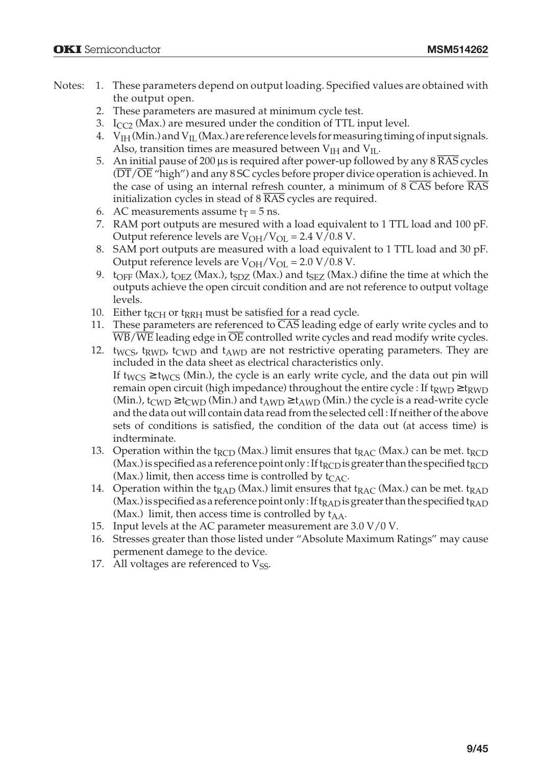- Notes: 1. These parameters depend on output loading. Specified values are obtained with the output open.
	- 2. These parameters are masured at minimum cycle test.
	- 3.  $I_{CC2}$  (Max.) are mesured under the condition of TTL input level.
	- 4.  $V_{IH}$  (Min.) and  $V_{II}$  (Max.) are reference levels for measuring timing of input signals. Also, transition times are measured between  $V<sub>IH</sub>$  and  $V<sub>IL</sub>$ .
	- 5. An initial pause of 200  $\mu$ s is required after power-up followed by any 8  $\overline{\text{RAS}}$  cycles  $(DT/\overline{OE}$  "high") and any 8 SC cycles before proper divice operation is achieved. In the case of using an internal refresh counter, a minimum of  $8 \overline{\text{CAS}}$  before  $\overline{\text{RAS}}$ initialization cycles in stead of  $8 \overline{\text{RAS}}$  cycles are required.
	- 6. AC measurements assume  $t_T = 5$  ns.
	- 7. RAM port outputs are mesured with a load equivalent to 1 TTL load and 100 pF. Output reference levels are  $V_{OH}/V_{OL} = 2.4 V/0.8 V$ .
	- 8. SAM port outputs are measured with a load equivalent to 1 TTL load and 30 pF. Output reference levels are  $V_{OH}/V_{OL}$  = 2.0 V/0.8 V.
	- 9.  $t_{OFF}$  (Max.),  $t_{OEZ}$  (Max.),  $t_{SDZ}$  (Max.) and  $t_{SEZ}$  (Max.) difine the time at which the outputs achieve the open circuit condition and are not reference to output voltage levels.
	- 10. Either  $t_{RCH}$  or  $t_{RRH}$  must be satisfied for a read cycle.
	- 11. These parameters are referenced to  $\overline{CAS}$  leading edge of early write cycles and to  $\overline{WB}/\overline{WE}$  leading edge in  $\overline{OE}$  controlled write cycles and read modify write cycles.
	- 12.  $t_{WCS}$ ,  $t_{RWD}$ ,  $t_{CWD}$  and  $t_{AWD}$  are not restrictive operating parameters. They are included in the data sheet as electrical characteristics only. If t<sub>WCS</sub>  $\geq$  t<sub>WCS</sub> (Min.), the cycle is an early write cycle, and the data out pin will remain open circuit (high impedance) throughout the entire cycle : If  $t_{RWD} \geq t_{RWD}$ (Min.),  $t_{CWD} \ge t_{CWD}$  (Min.) and  $t_{AWD} \ge t_{AWD}$  (Min.) the cycle is a read-write cycle and the data out will contain data read from the selected cell : If neither of the above sets of conditions is satisfied, the condition of the data out (at access time) is indterminate.
	- 13. Operation within the t<sub>RCD</sub> (Max.) limit ensures that t<sub>RAC</sub> (Max.) can be met. t<sub>RCD</sub> (Max.) is specified as a reference point only : If t<sub>RCD</sub> is greater than the specified t<sub>RCD</sub> (Max.) limit, then access time is controlled by  $t_{CAC}$ .
	- 14. Operation within the t<sub>RAD</sub> (Max.) limit ensures that t<sub>RAC</sub> (Max.) can be met. t<sub>RAD</sub> (Max.) is specified as a reference point only : If  $t_{\rm RAD}$  is greater than the specified  $t_{\rm RAD}$ (Max.) limit, then access time is controlled by  $t_{AA}$ .
	- 15. Input levels at the AC parameter measurement are 3.0 V/0 V.
	- 16. Stresses greater than those listed under "Absolute Maximum Ratings" may cause permenent damege to the device.
	- 17. All voltages are referenced to  $V_{SS}$ .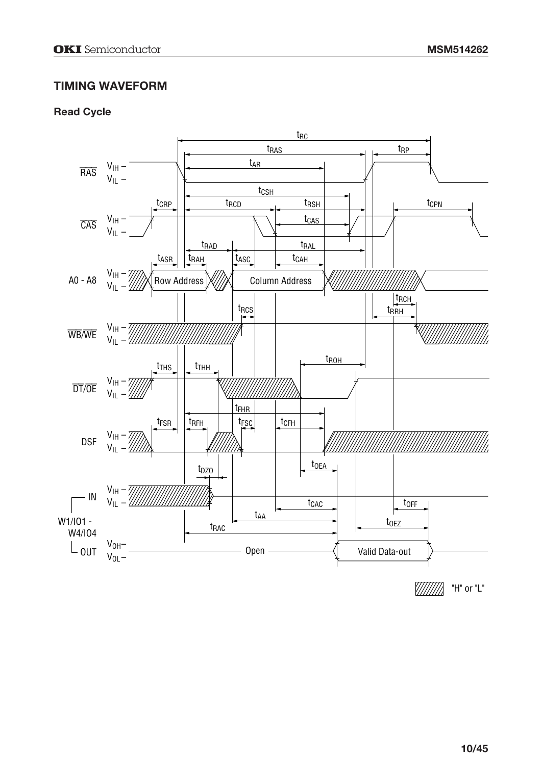# **TIMING WAVEFORM**

#### **Read Cycle**

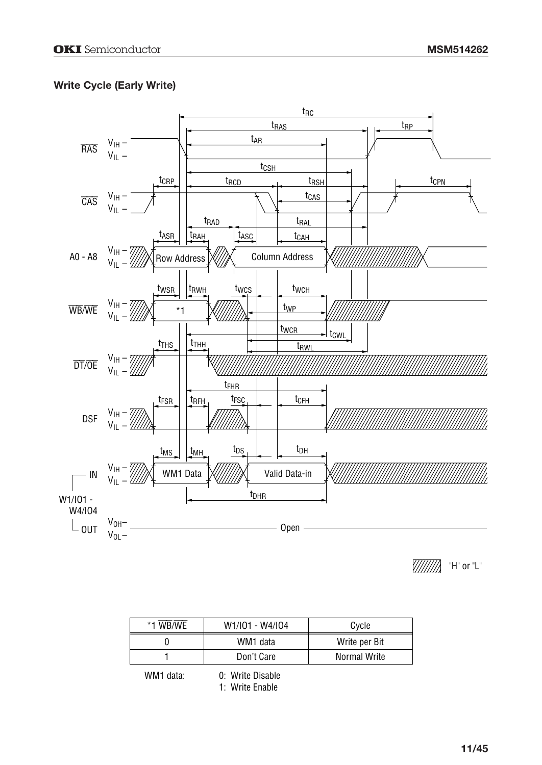# **Write Cycle (Early Write)**



V//////// "H" or "L"

| *1 WB/WE | W1/I01 - W4/I04 | Cycle         |
|----------|-----------------|---------------|
|          | WM1 data        | Write per Bit |
|          | Don't Care      | Normal Write  |

WM1 data: 0: Write Disable 1: Write Enable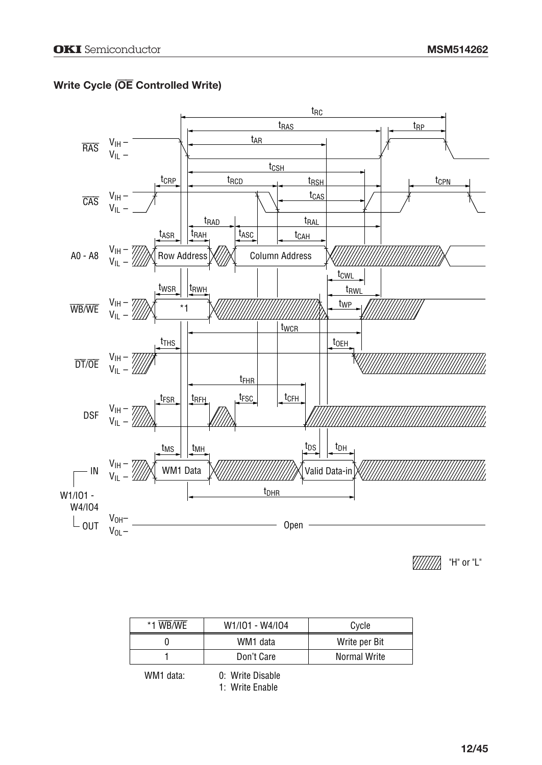# **Write Cycle (**OE **Controlled Write)**



"H" or "L"

| *1 WB/WE | W1/I01 - W4/I04 | Cycle         |  |  |  |  |
|----------|-----------------|---------------|--|--|--|--|
|          | WM1 data        | Write per Bit |  |  |  |  |
|          | Don't Care      | Normal Write  |  |  |  |  |

WM1 data: 0: Write Disable 1: Write Enable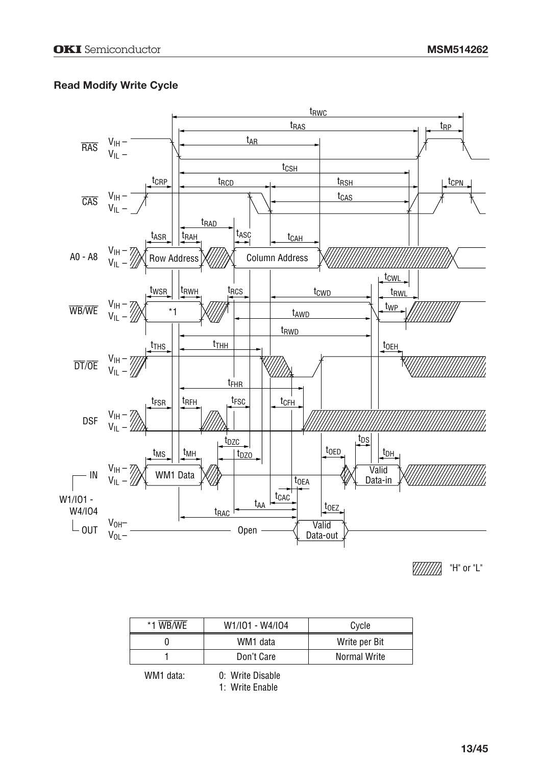## **Read Modify Write Cycle**



"H" or "L"

| *1 WB/WE | W1/I01 - W4/I04 | Cycle         |  |  |  |
|----------|-----------------|---------------|--|--|--|
|          | WM1 data        | Write per Bit |  |  |  |
|          | Don't Care      | Normal Write  |  |  |  |

WM1 data: 0: Write Disable 1: Write Enable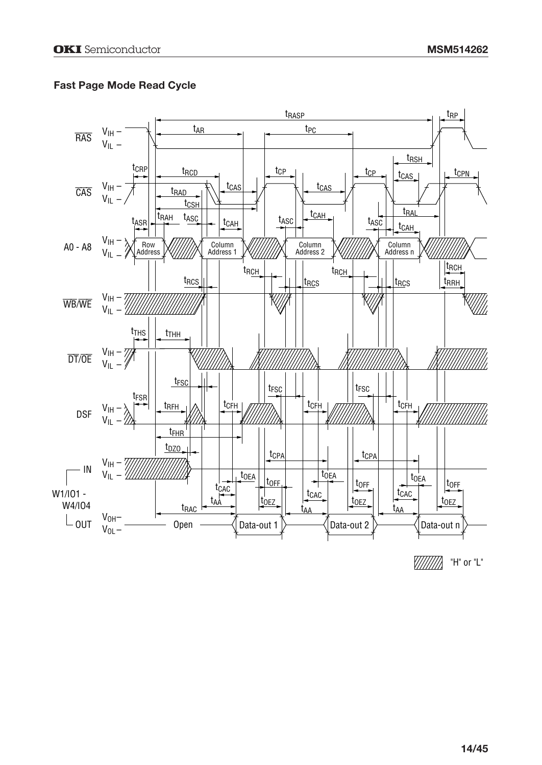## **Fast Page Mode Read Cycle**



V//////// "H" or "L"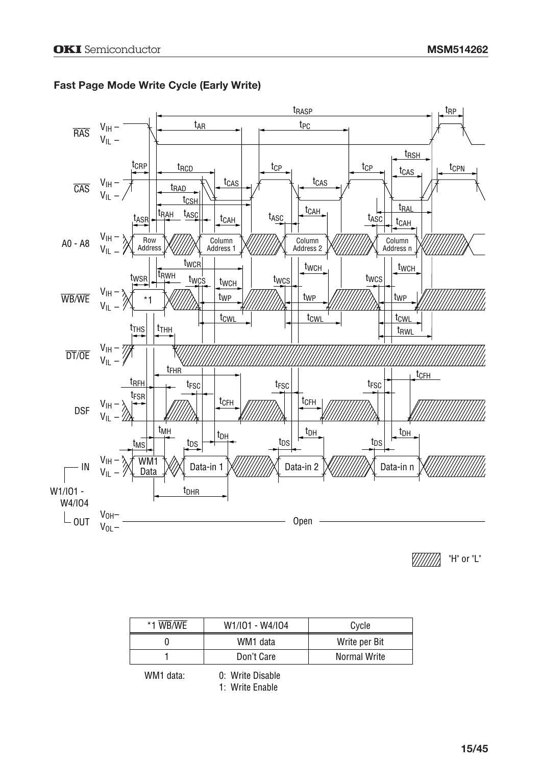

#### **Fast Page Mode Write Cycle (Early Write)**

V//////// "H" or "L"

| *1 WB/WE | W1/I01 - W4/I04 | Cycle         |  |  |  |
|----------|-----------------|---------------|--|--|--|
|          | WM1 data        | Write per Bit |  |  |  |
|          | Don't Care      | Normal Write  |  |  |  |
|          |                 |               |  |  |  |

WM1 data:

0: Write Disable 1: Write Enable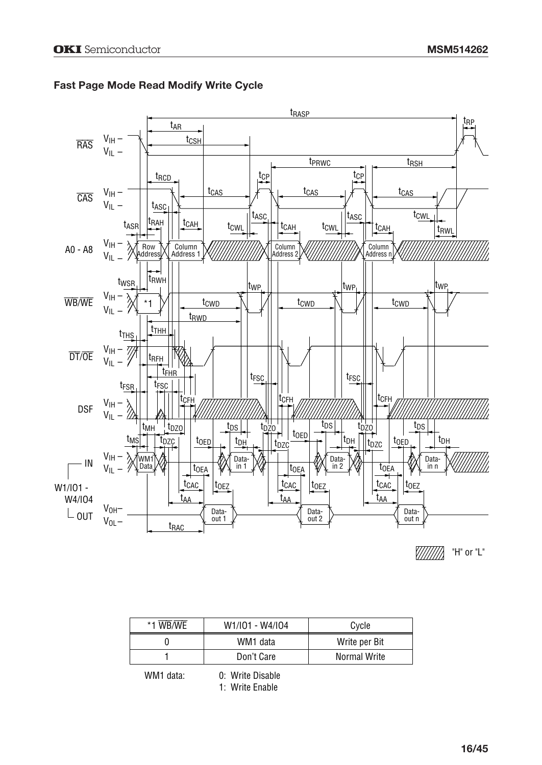

#### **Fast Page Mode Read Modify Write Cycle**

| *1 WB/WE | W1/I01 - W4/I04 | Cycle         |  |  |  |
|----------|-----------------|---------------|--|--|--|
|          | WM1 data        | Write per Bit |  |  |  |
|          | Don't Care      | Normal Write  |  |  |  |
|          |                 |               |  |  |  |

WM1 data:

<sup>0:</sup> Write Disable 1: Write Enable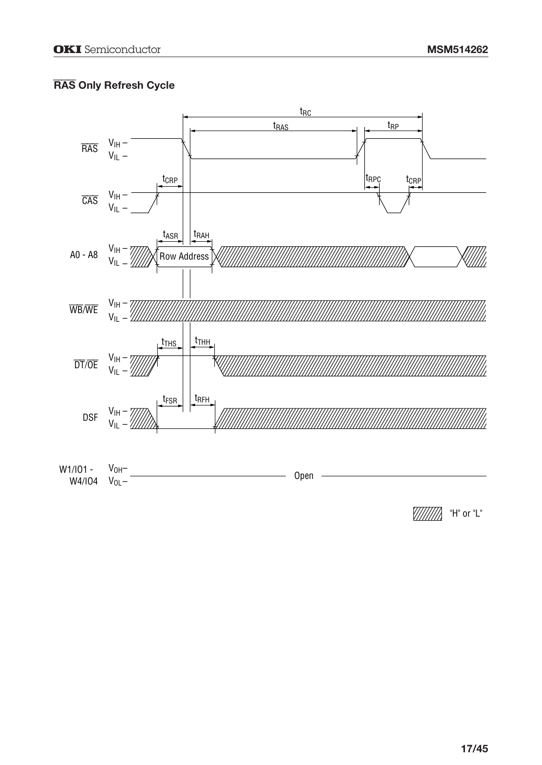# RAS Only Refresh Cycle



////////////////// "H" or "L"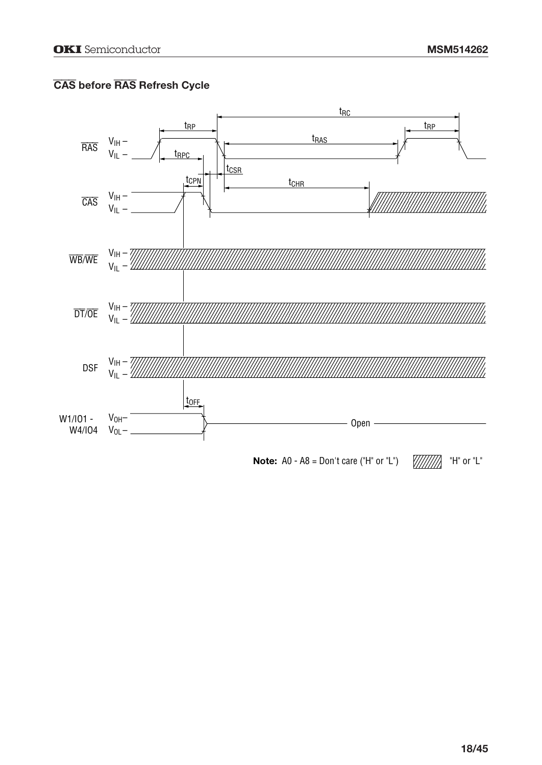# CAS **before** RAS **Refresh Cycle**

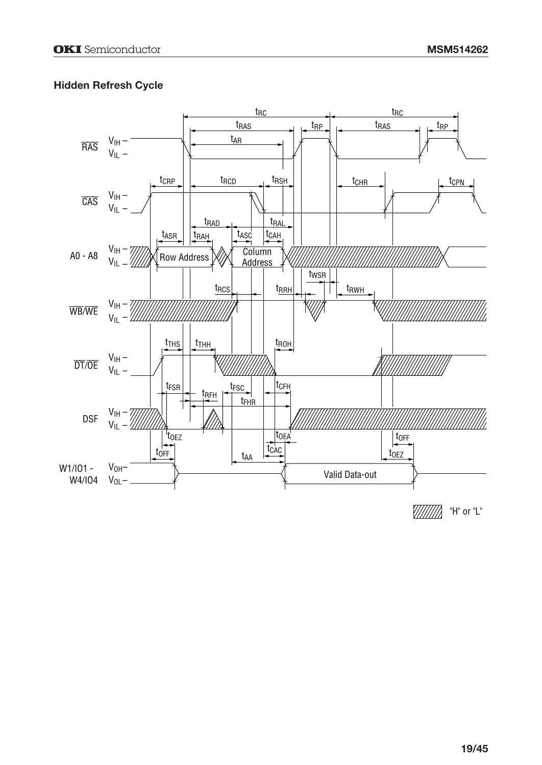## **Hidden Refresh Cycle**

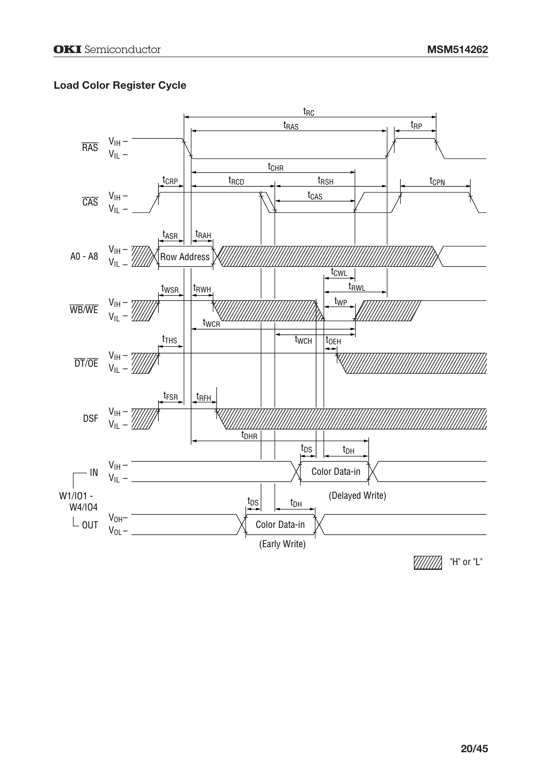## **Load Color Register Cycle**

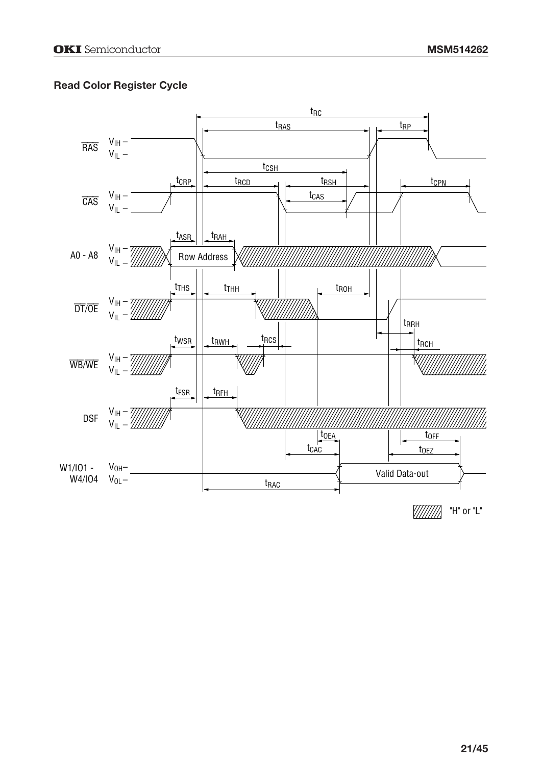## **Read Color Register Cycle**



V//////// "H" or "L"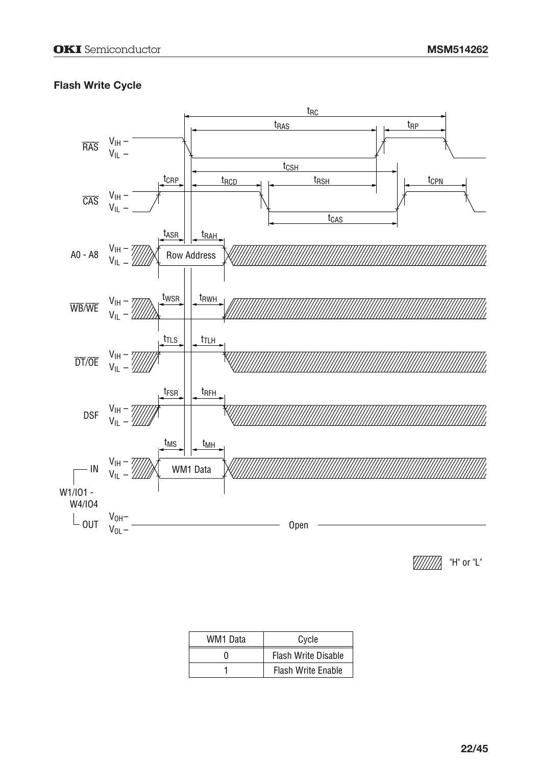## **Flash Write Cycle**



 $\frac{1}{2}$  "H" or "L"

| WM1 Data | Cycle                      |  |  |  |  |
|----------|----------------------------|--|--|--|--|
| O        | <b>Flash Write Disable</b> |  |  |  |  |
|          | <b>Flash Write Enable</b>  |  |  |  |  |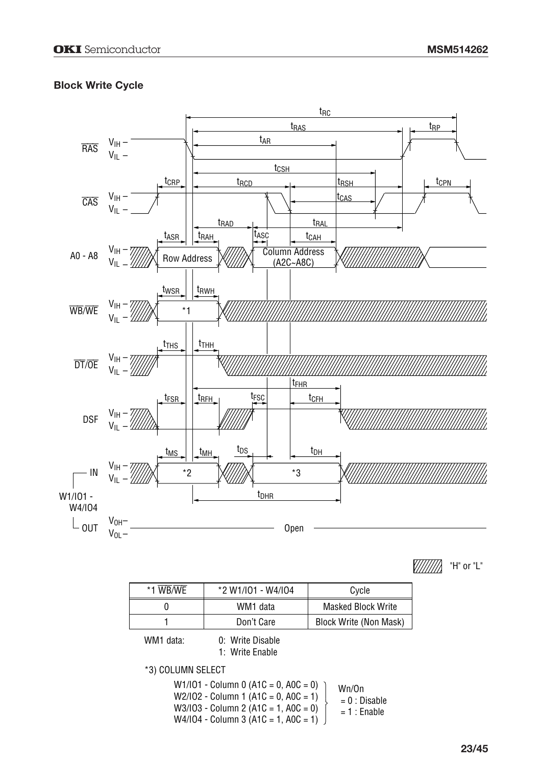## **Block Write Cycle**



V//////// "H" or "L"

| WB/WE<br>$* -$ | *2 W1/I01 - W4/I04 | Cvcle                     |
|----------------|--------------------|---------------------------|
|                | WM1 data           | <b>Masked Block Write</b> |
|                | Don't Care         | Block Write (Non Mask)    |

WM1 data: 0: Write Disable 1: Write Enable

\*3) COLUMN SELECT

W1/IO1 - Column 0 (A1C = 0, A0C = 0) W2/IO2 - Column 1 (A1C = 0, A0C = 1) W3/IO3 - Column 2 (A1C = 1, A0C = 0) W4/IO4 - Column 3 (A1C = 1, A0C = 1) Wn/On = 0 : Disable  $= 1$  : Enable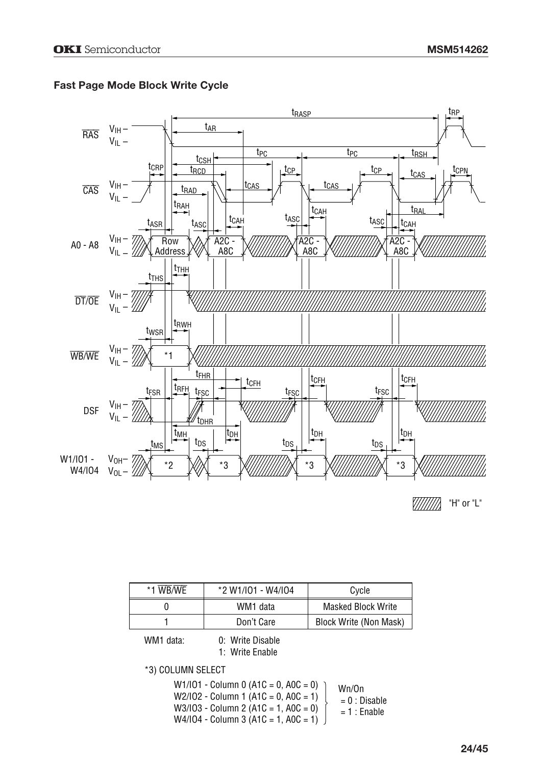

#### **Fast Page Mode Block Write Cycle**

| *1 WB/WE | *2 W1/I01 - W4/I04 | Cycle                     |  |  |  |
|----------|--------------------|---------------------------|--|--|--|
|          | WM1 data           | <b>Masked Block Write</b> |  |  |  |
|          | Don't Care         | Block Write (Non Mask)    |  |  |  |

WM1 data: 0: Write Disable

1: Write Enable

\*3) COLUMN SELECT

W1/IO1 - Column 0 (A1C = 0, A0C = 0) W2/IO2 - Column 1 (A1C = 0, A0C = 1) W3/IO3 - Column 2 (A1C = 1, A0C = 0) W4/IO4 - Column 3 (A1C = 1, A0C = 1) Wn/On = 0 : Disable  $= 1$  : Enable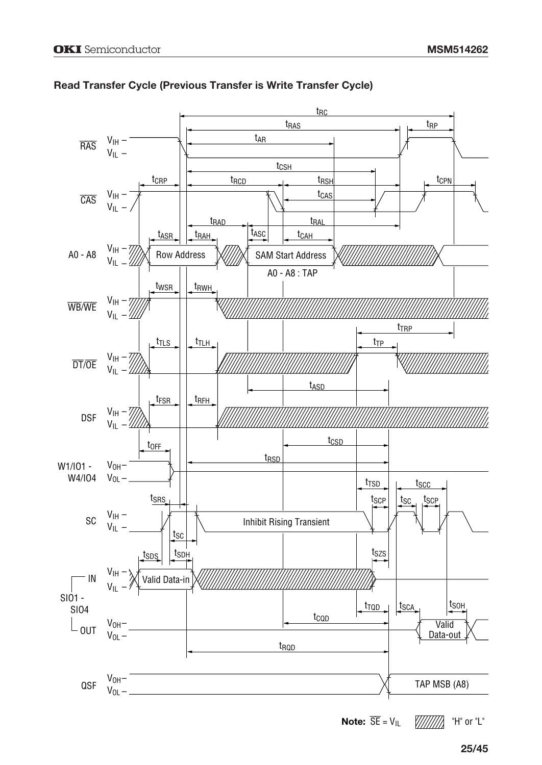

#### **Read Transfer Cycle (Previous Transfer is Write Transfer Cycle)**

**Note:**  $\overline{SE} = V_{IL}$ "H" or "L" VIIIIIIA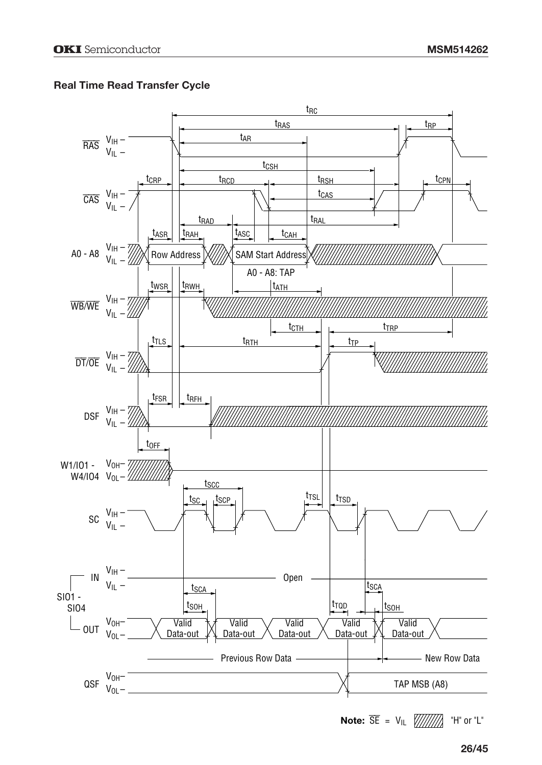## **Real Time Read Transfer Cycle**



"H" or "L" **Note:** SE = VIL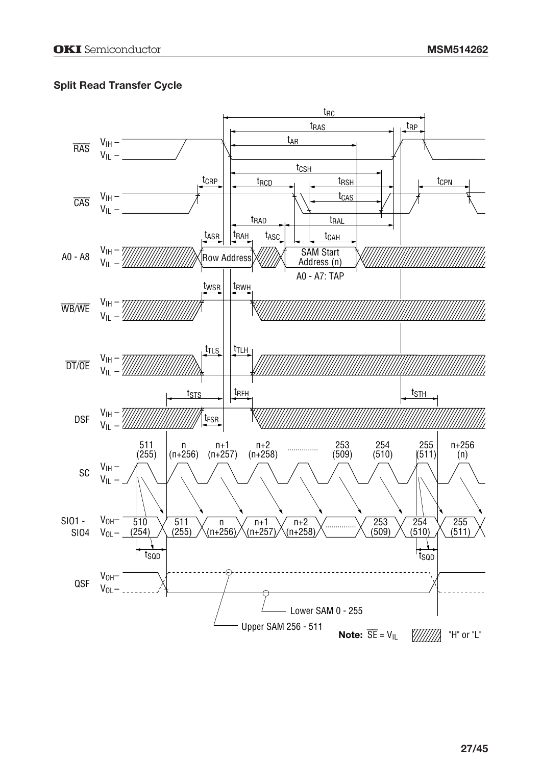## **Split Read Transfer Cycle**

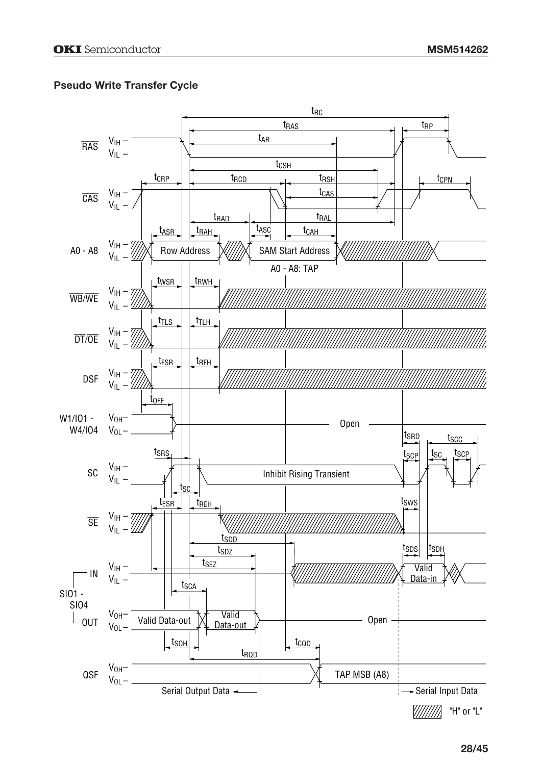## **Pseudo Write Transfer Cycle**

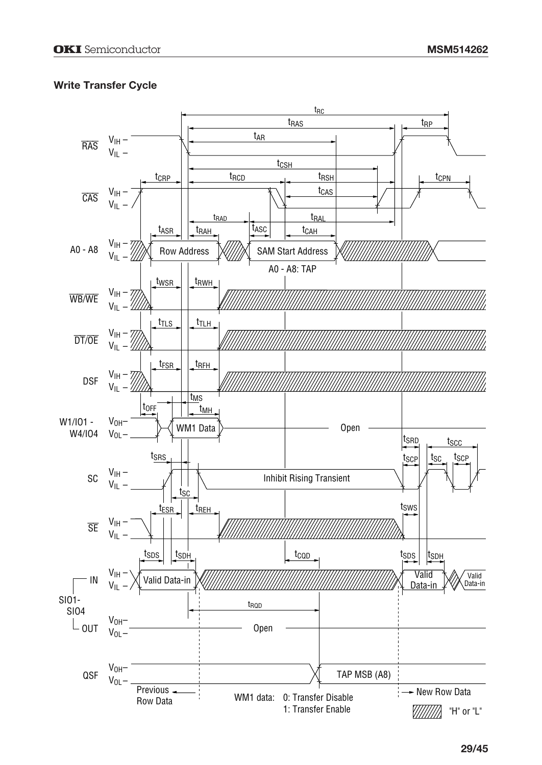## **Write Transfer Cycle**

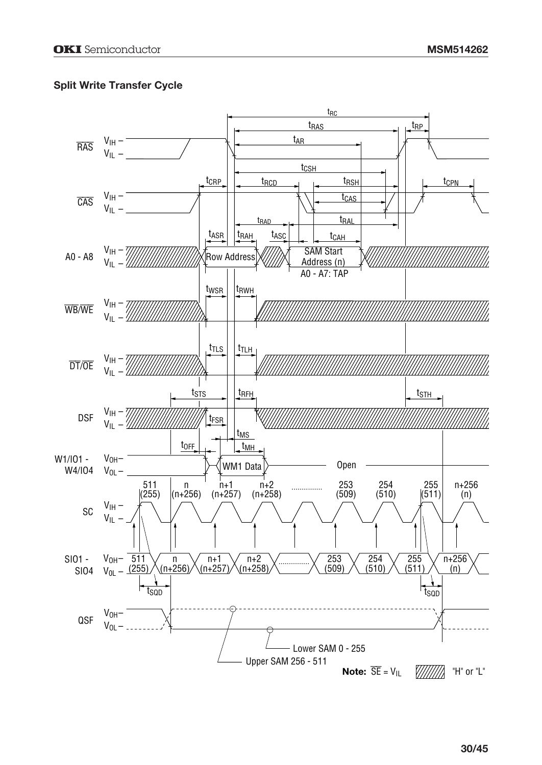## **Split Write Transfer Cycle**

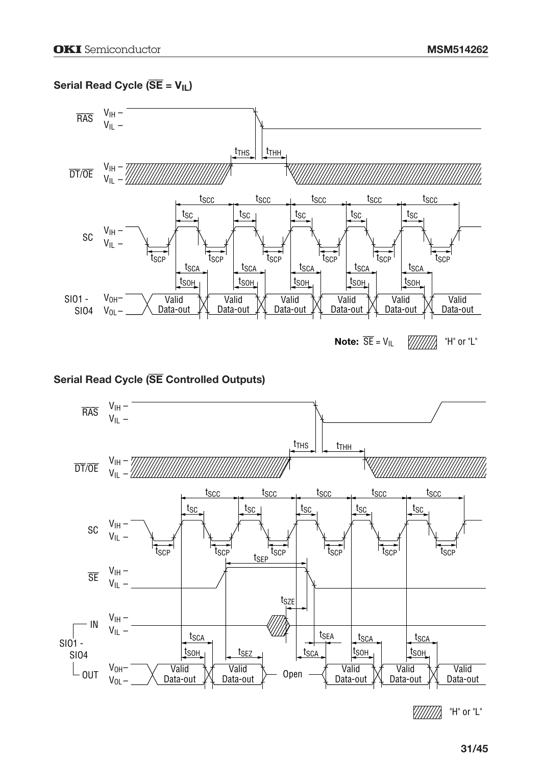# Serial Read Cycle ( $\overline{SE} = V_{IL}$ )



#### **Serial Read Cycle (**SE **Controlled Outputs)**

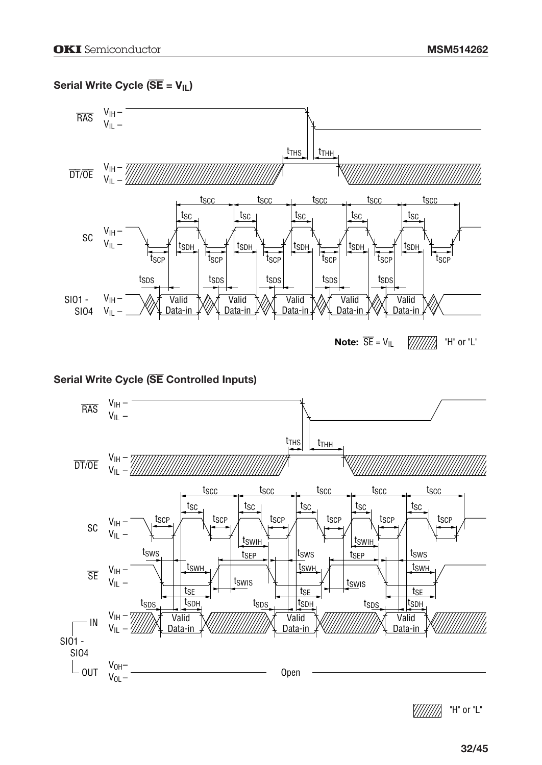# Serial Write Cycle ( $\overline{SE} = V_{IL}$ )



# Serial Write Cycle (SE Controlled Inputs)



"H" or "L" <u> У////////</u>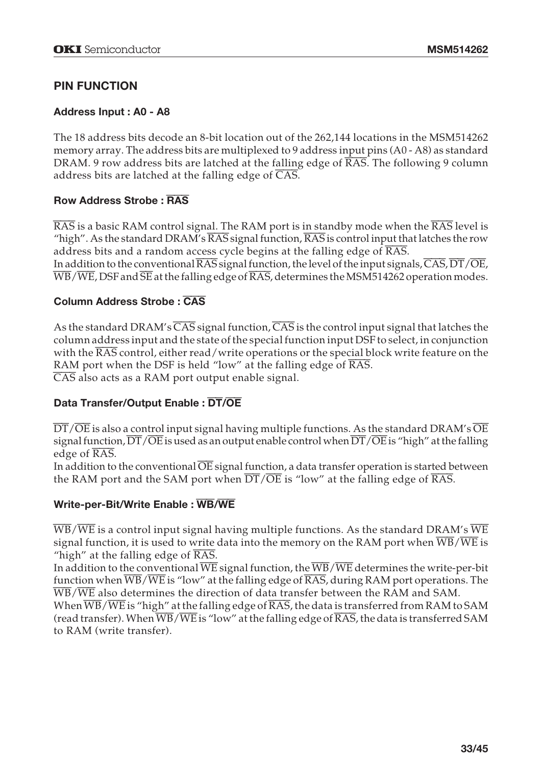# **PIN FUNCTION**

#### **Address Input : A0 - A8**

The 18 address bits decode an 8-bit location out of the 262,144 locations in the MSM514262 memory array. The address bits are multiplexed to 9 address input pins (A0 - A8) as standard DRAM. 9 row address bits are latched at the falling edge of  $\overline{RAS}$ . The following 9 column address bits are latched at the falling edge of  $\overline{CAS}$ .

#### **Row Address Strobe :** RAS

 $\overline{RAS}$  is a basic RAM control signal. The RAM port is in standby mode when the  $\overline{RAS}$  level is "high". As the standard DRAM's  $\overline{RAS}$  signal function,  $\overline{RAS}$  is control input that latches the row address bits and a random access cycle begins at the falling edge of RAS. In addition to the conventional  $\overline{\text{RAS}}$  signal function, the level of the input signals, CAS, DT/OE,  $\overline{WB}/\overline{WE}$ , DSF and  $\overline{SE}$  at the falling edge of  $\overline{RAS}$ , determines the MSM514262 operation modes.

#### **Column Address Strobe :** CAS

As the standard DRAM's  $\overline{CAS}$  signal function,  $\overline{CAS}$  is the control input signal that latches the column address input and the state of the special function input DSF to select, in conjunction with the RAS control, either read/write operations or the special block write feature on the RAM port when the DSF is held "low" at the falling edge of  $\overline{RAS}$ . CAS also acts as a RAM port output enable signal.

#### **Data Transfer/Output Enable :** DT**/**OE

 $\overline{\text{DT}/\text{OE}}$  is also a control input signal having multiple functions. As the standard DRAM's  $\overline{\text{OE}}$ signal function,  $\overline{DT}/\overline{OE}$  is used as an output enable control when  $\overline{DT}/\overline{OE}$  is "high" at the falling edge of RAS.

In addition to the conventional OE signal function, a data transfer operation is started between the RAM port and the SAM port when  $\overline{DT}/\overline{OE}$  is "low" at the falling edge of RAS.

#### **Write-per-Bit/Write Enable :** WB**/**WE

WB/WE is a control input signal having multiple functions. As the standard DRAM's WE signal function, it is used to write data into the memory on the RAM port when WB/WE is "high" at the falling edge of RAS.

In addition to the conventional  $\overline{WE}$  signal function, the  $\overline{WB}/\overline{WE}$  determines the write-per-bit function when  $\overline{WB}/\overline{WE}$  is "low" at the falling edge of  $\overline{RAS}$ , during RAM port operations. The WB/WE also determines the direction of data transfer between the RAM and SAM.

When  $\overline{WB}/\overline{WE}$  is "high" at the falling edge of  $\overline{RAS}$ , the data is transferred from RAM to SAM (read transfer). When  $\overline{\text{WB}}/\overline{\text{WE}}$  is "low" at the falling edge of RAS, the data is transferred SAM to RAM (write transfer).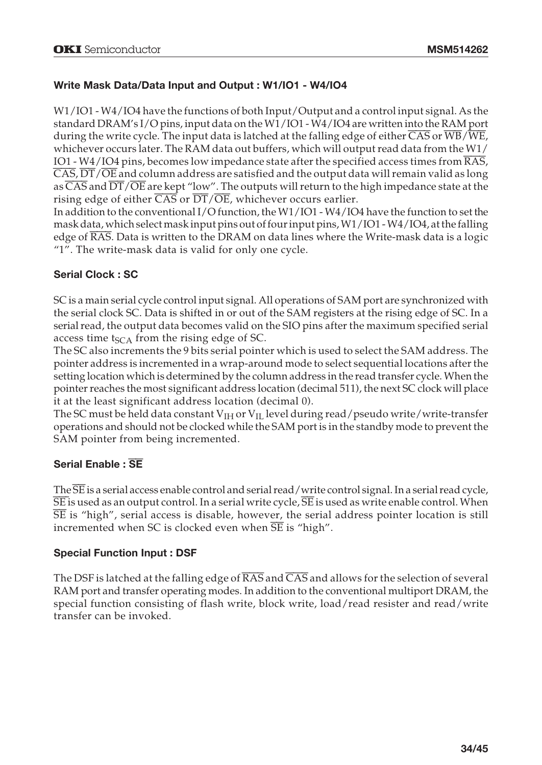# **Write Mask Data/Data Input and Output : W1/IO1 - W4/IO4**

W1/IO1 - W4/IO4 have the functions of both Input/Output and a control input signal. As the standard DRAM's I/O pins, input data on the W1/IO1 - W4/IO4 are written into the RAM port during the write cycle. The input data is latched at the falling edge of either  $\overline{\text{CAS}}$  or  $\overline{\text{WB}}/\overline{\text{WE}}$ , whichever occurs later. The RAM data out buffers, which will output read data from the  $W1/$ IO1 - W4/IO4 pins, becomes low impedance state after the specified access times from RAS,  $\overline{\text{CAS}}, \overline{\text{DT}/\text{OE}}$  and column address are satisfied and the output data will remain valid as long as  $\overline{\text{CAS}}$  and  $\overline{\text{DT}}/\overline{\text{OE}}$  are kept "low". The outputs will return to the high impedance state at the rising edge of either  $\overline{CAS}$  or  $\overline{DT}/\overline{OE}$ , whichever occurs earlier.

In addition to the conventional I/O function, the W1/IO1 - W4/IO4 have the function to set the mask data, which select mask input pins out of four input pins, W1/IO1 - W4/IO4, at the falling edge of RAS. Data is written to the DRAM on data lines where the Write-mask data is a logic "1". The write-mask data is valid for only one cycle.

# **Serial Clock : SC**

SC is a main serial cycle control input signal. All operations of SAM port are synchronized with the serial clock SC. Data is shifted in or out of the SAM registers at the rising edge of SC. In a serial read, the output data becomes valid on the SIO pins after the maximum specified serial access time  $t_{SCA}$  from the rising edge of SC.

The SC also increments the 9 bits serial pointer which is used to select the SAM address. The pointer address is incremented in a wrap-around mode to select sequential locations after the setting location which is determined by the column address in the read transfer cycle. When the pointer reaches the most significant address location (decimal 511), the next SC clock will place it at the least significant address location (decimal 0).

The SC must be held data constant  $V<sub>IH</sub>$  or  $V<sub>II</sub>$  level during read/pseudo write/write-transfer operations and should not be clocked while the SAM port is in the standby mode to prevent the SAM pointer from being incremented.

# **Serial Enable :** SE

The SE is a serial access enable control and serial read/write control signal. In a serial read cycle,  $\overline{\text{SE}}$  is used as an output control. In a serial write cycle,  $\overline{\text{SE}}$  is used as write enable control. When  $\overline{\text{SE}}$  is "high", serial access is disable, however, the serial address pointer location is still incremented when SC is clocked even when  $\overline{SE}$  is "high".

# **Special Function Input : DSF**

The DSF is latched at the falling edge of  $\overline{RAS}$  and  $\overline{CAS}$  and allows for the selection of several RAM port and transfer operating modes. In addition to the conventional multiport DRAM, the special function consisting of flash write, block write, load/read resister and read/write transfer can be invoked.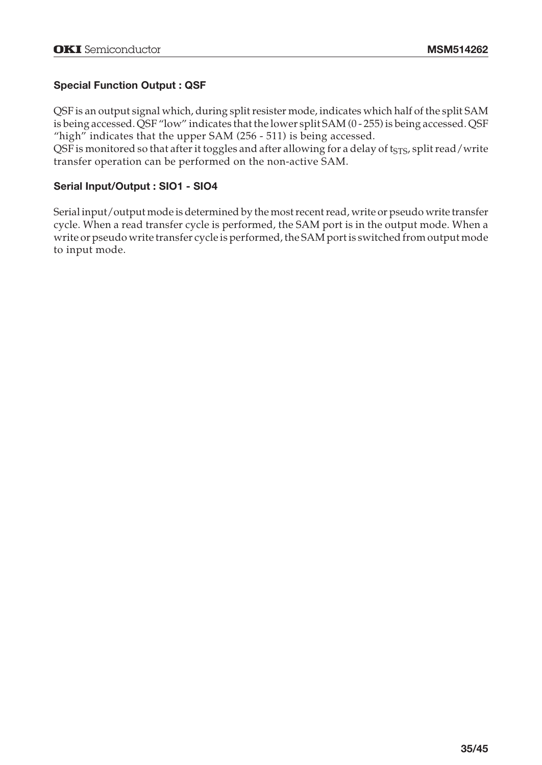# **Special Function Output : QSF**

QSF is an output signal which, during split resister mode, indicates which half of the split SAM is being accessed. QSF "low" indicates that the lower split SAM (0 - 255) is being accessed. QSF "high" indicates that the upper SAM (256 - 511) is being accessed.

QSF is monitored so that after it toggles and after allowing for a delay of t<sub>STS</sub>, split read/write transfer operation can be performed on the non-active SAM.

## **Serial Input/Output : SIO1 - SIO4**

Serial input/output mode is determined by the most recent read, write or pseudo write transfer cycle. When a read transfer cycle is performed, the SAM port is in the output mode. When a write or pseudo write transfer cycle is performed, the SAM port is switched from output mode to input mode.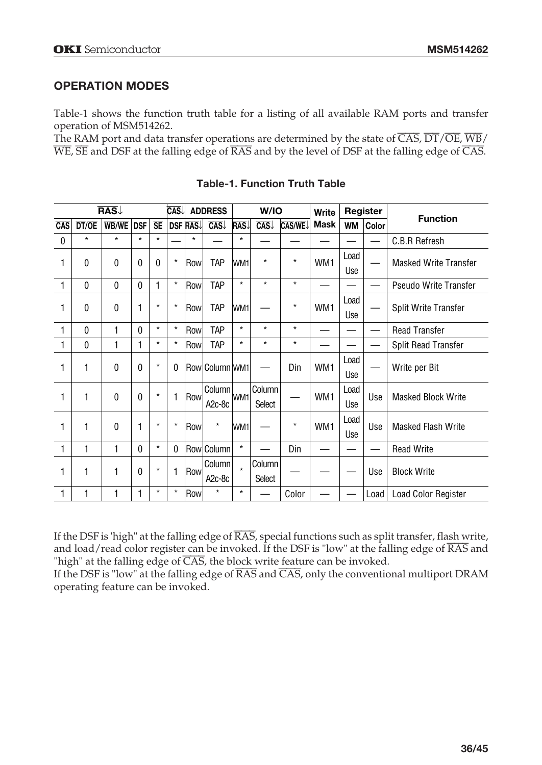# **OPERATION MODES**

Table-1 shows the function truth table for a listing of all available RAM ports and transfer operation of MSM514262.

The RAM port and data transfer operations are determined by the state of  $\overline{CAS}, \overline{DT}/\overline{OE}, \overline{WB}/$ WE, SE and DSF at the falling edge of RAS and by the level of DSF at the falling edge of CAS.

|                  | <b>RAS</b><br><b>CAS</b><br><b>ADDRESS</b><br>W/IO |              | Register<br>Write |           |         |                |                     |         |               |               |                 |             |                           |                              |
|------------------|----------------------------------------------------|--------------|-------------------|-----------|---------|----------------|---------------------|---------|---------------|---------------|-----------------|-------------|---------------------------|------------------------------|
| $\overline{CAS}$ | DT/OE                                              | <b>WB/WE</b> | <b>DSF</b>        | <b>SE</b> |         | <b>DSF RAS</b> | CAS                 | RAS     | CAS           | <b>CAS/WE</b> | <b>Mask</b>     | WM          | Color                     | <b>Function</b>              |
| $\mathbf 0$      | $\star$                                            | $\star$      | $\star$           | $\star$   |         | $\star$        |                     | $\star$ |               |               |                 |             |                           | C.B.R Refresh                |
| 1                | $\mathbf{0}$                                       | $\mathbf{0}$ | 0                 | 0         | $\star$ | Row            | TAP                 | WM1     | $^\star$      | $\star$       | WM1             | Load        |                           | <b>Masked Write Transfer</b> |
|                  |                                                    |              |                   |           |         |                |                     |         |               |               |                 | Use         |                           |                              |
| 1                | 0                                                  | $\mathbf{0}$ | $\mathbf{0}$      | 1         | $\star$ | Row            | TAP                 | $\star$ | $\star$       | $\star$       |                 |             |                           | Pseudo Write Transfer        |
| 1                | $\mathbf{0}$                                       | $\Omega$     | 1                 | $\star$   | $\star$ | Row            | TAP                 | WM1     |               | $\star$       | WM <sub>1</sub> | Load        |                           | <b>Split Write Transfer</b>  |
|                  |                                                    |              |                   |           |         |                |                     |         |               |               |                 | Use         |                           |                              |
| 1                | $\mathbf 0$                                        | 1            | $\mathbf{0}$      | $\star$   | $\star$ | Row            | TAP                 | $\star$ | $\star$       | $\star$       |                 |             |                           | <b>Read Transfer</b>         |
| 1                | $\mathbf{0}$                                       | $\mathbf{1}$ | 1                 | $\star$   | $\star$ | Row            | TAP                 | $\star$ | $\star$       | $\star$       |                 |             |                           | Split Read Transfer          |
| 1                | 1                                                  | $\Omega$     | $\mathbf{0}$      | $\star$   | 0       |                | Row Column WM1      |         |               | Din           | WM1             | Load        |                           | Write per Bit                |
|                  |                                                    |              |                   |           |         |                |                     |         |               |               |                 | Use         |                           |                              |
| 1                | 1                                                  | $\Omega$     | 0                 | $\star$   | 1       | Row            | Column              | WM1     | Column        |               | WM <sub>1</sub> | Load<br>Use | <b>Masked Block Write</b> |                              |
|                  |                                                    |              |                   |           |         |                | A <sub>2</sub> c-8c |         | <b>Select</b> |               |                 | Use         |                           |                              |
| 1                | 1                                                  | $\Omega$     |                   | $\star$   | $\star$ | Row            | $\star$             | WM1     |               | $\star$       | WM <sub>1</sub> | Load        | Use                       | <b>Masked Flash Write</b>    |
|                  |                                                    |              |                   |           |         |                |                     |         |               |               |                 | <b>Use</b>  |                           |                              |
| 1                | 1                                                  | 1            | $\mathbf{0}$      | $\star$   | 0       |                | Row Column          | $\star$ |               | Din           |                 |             |                           | <b>Read Write</b>            |
| 1                | 1                                                  | 1            | 0                 | $\star$   | 1       |                | Column              | $\star$ | Column        |               |                 |             |                           | <b>Block Write</b>           |
|                  |                                                    |              |                   |           |         | Row            | A <sub>2</sub> c-8c |         | <b>Select</b> |               |                 |             | Use                       |                              |
| 1                | 1                                                  | 1            |                   | $\star$   | $\star$ | Row            | $\star$             | $\star$ |               | Color         |                 |             | Load                      | Load Color Register          |

**Table-1. Function Truth Table**

If the DSF is 'high" at the falling edge of RAS, special functions such as split transfer, flash write, and load/read color register can be invoked. If the DSF is "low" at the falling edge of RAS and "high" at the falling edge of  $\overline{CAS}$ , the block write feature can be invoked.

If the DSF is "low" at the falling edge of  $\overline{\text{RAS}}$  and  $\overline{\text{CAS}}$ , only the conventional multiport DRAM operating feature can be invoked.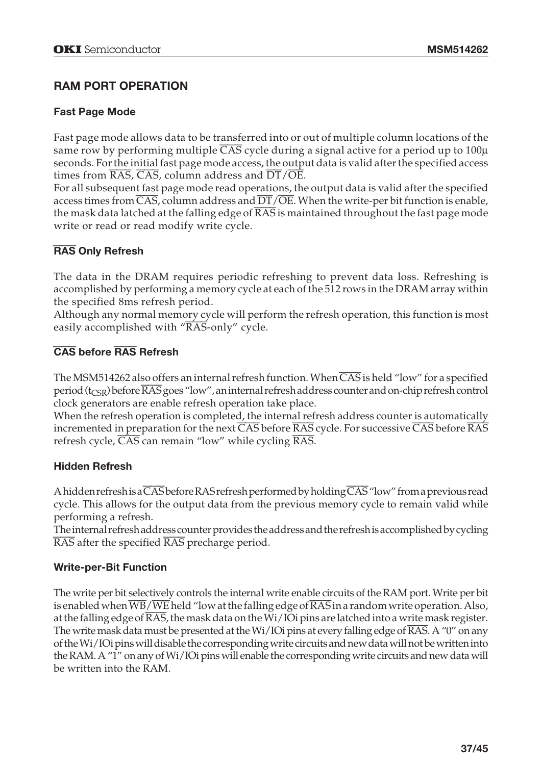# **RAM PORT OPERATION**

## **Fast Page Mode**

Fast page mode allows data to be transferred into or out of multiple column locations of the same row by performing multiple CAS cycle during a signal active for a period up to 100 $\mu$ seconds. For the initial fast page mode access, the output data is valid after the specified access times from  $\overline{\text{RAS}}$ ,  $\overline{\text{CAS}}$ , column address and  $\overline{\text{DT}}/\overline{\text{OE}}$ .

For all subsequent fast page mode read operations, the output data is valid after the specified access times from  $\overline{\text{CAS}}$ , column address and  $\overline{\text{DT}/\text{OE}}$ . When the write-per bit function is enable, the mask data latched at the falling edge of  $\overline{RAS}$  is maintained throughout the fast page mode write or read or read modify write cycle.

# RAS **Only Refresh**

The data in the DRAM requires periodic refreshing to prevent data loss. Refreshing is accomplished by performing a memory cycle at each of the 512 rows in the DRAM array within the specified 8ms refresh period.

Although any normal memory cycle will perform the refresh operation, this function is most easily accomplished with "RAS-only" cycle.

## CAS **before** RAS **Refresh**

The MSM514262 also offers an internal refresh function. When CAS is held "low" for a specified period (t<sub>CSR</sub>) before RAS goes "low", an internal refresh address counter and on-chip refresh control clock generators are enable refresh operation take place.

When the refresh operation is completed, the internal refresh address counter is automatically incremented in preparation for the next CAS before RAS cycle. For successive CAS before RAS refresh cycle, CAS can remain "low" while cycling RAS.

#### **Hidden Refresh**

A hidden refresh is a CAS before RAS refresh performed by holding  $\overline{CAS}$  "low" from a previous read cycle. This allows for the output data from the previous memory cycle to remain valid while performing a refresh.

The internal refresh address counter provides the address and the refresh is accomplished by cycling RAS after the specified RAS precharge period.

# **Write-per-Bit Function**

The write per bit selectively controls the internal write enable circuits of the RAM port. Write per bit is enabled when  $\overline{WB}/\overline{WE}$  held "low at the falling edge of  $\overline{RAS}$  in a random write operation. Also, at the falling edge of  $\overline{\text{RAS}}$ , the mask data on the Wi/IOi pins are latched into a write mask register. The write mask data must be presented at the Wi/IOi pins at every falling edge of RAS. A "0" on any of the Wi/IOi pins will disable the corresponding write circuits and new data will not be written into the RAM. A "1" on any of Wi/IOi pins will enable the corresponding write circuits and new data will be written into the RAM.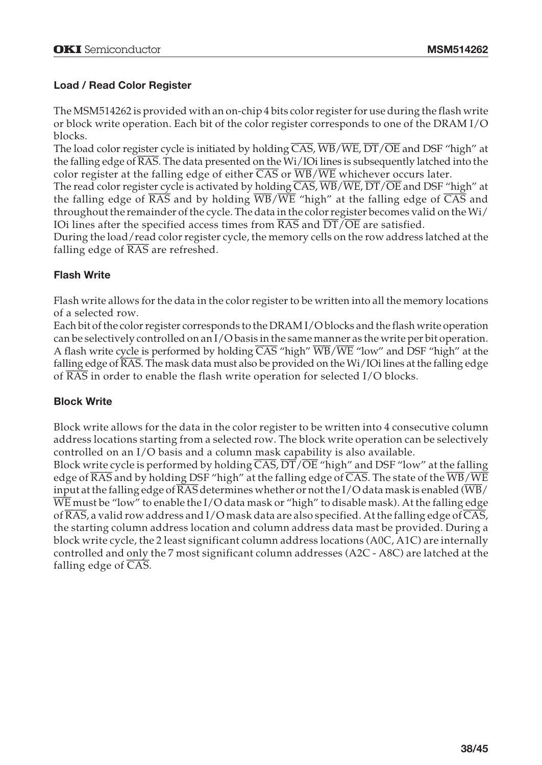## **Load / Read Color Register**

The MSM514262 is provided with an on-chip 4 bits color register for use during the flash write or block write operation. Each bit of the color register corresponds to one of the DRAM I/O blocks.

The load color register cycle is initiated by holding  $\overline{CAS}$ ,  $\overline{WB}/\overline{WE}$ ,  $\overline{DT}/\overline{OE}$  and DSF "high" at the falling edge of RAS. The data presented on the Wi/IOi lines is subsequently latched into the color register at the falling edge of either CAS or WB/WE whichever occurs later.

The read color register cycle is activated by holding CAS, WB/WE, DT/OE and DSF "high" at the falling edge of RAS and by holding WB/WE "high" at the falling edge of CAS and throughout the remainder of the cycle. The data in the color register becomes valid on the Wi/ IOi lines after the specified access times from RAS and DT/OE are satisfied.

During the load/read color register cycle, the memory cells on the row address latched at the falling edge of RAS are refreshed.

#### **Flash Write**

Flash write allows for the data in the color register to be written into all the memory locations of a selected row.

Each bit of the color register corresponds to the DRAM I/O blocks and the flash write operation can be selectively controlled on an I/O basis in the same manner as the write per bit operation. A flash write cycle is performed by holding  $\overline{CAS}$  "high"  $\overline{WB}/\overline{WE}$  "low" and DSF "high" at the falling edge of  $\overline{\text{RAS}}$ . The mask data must also be provided on the Wi/IOi lines at the falling edge of RAS in order to enable the flash write operation for selected I/O blocks.

#### **Block Write**

Block write allows for the data in the color register to be written into 4 consecutive column address locations starting from a selected row. The block write operation can be selectively controlled on an I/O basis and a column mask capability is also available.

Block write cycle is performed by holding  $\overline{CAS}$ ,  $\overline{DT}/\overline{OE}$  "high" and DSF "low" at the falling edge of  $\overline{\text{RAS}}$  and by holding DSF "high" at the falling edge of  $\overline{\text{CAS}}$ . The state of the  $\overline{\text{WB}}/\overline{\text{WE}}$ input at the falling edge of  $\overline{\text{RAS}}$  determines whether or not the I/O data mask is enabled ( $\overline{\text{WB}}$ ) WE must be "low" to enable the I/O data mask or "high" to disable mask). At the falling edge of  $\overline{\text{RAS}}$ , a valid row address and I/O mask data are also specified. At the falling edge of  $\overline{\text{CAS}}$ , the starting column address location and column address data mast be provided. During a block write cycle, the 2 least significant column address locations (A0C, A1C) are internally controlled and only the 7 most significant column addresses (A2C - A8C) are latched at the falling edge of CAS.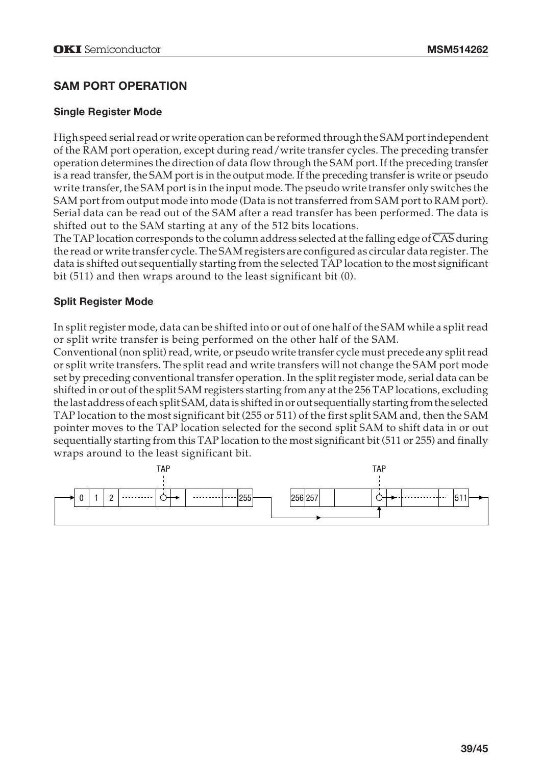# **SAM PORT OPERATION**

#### **Single Register Mode**

High speed serial read or write operation can be reformed through the SAM port independent of the RAM port operation, except during read/write transfer cycles. The preceding transfer operation determines the direction of data flow through the SAM port. If the preceding transfer is a read transfer, the SAM port is in the output mode. If the preceding transfer is write or pseudo write transfer, the SAM port is in the input mode. The pseudo write transfer only switches the SAM port from output mode into mode (Data is not transferred from SAM port to RAM port). Serial data can be read out of the SAM after a read transfer has been performed. The data is shifted out to the SAM starting at any of the 512 bits locations.

The TAP location corresponds to the column address selected at the falling edge of CAS during the read or write transfer cycle. The SAM registers are configured as circular data register. The data is shifted out sequentially starting from the selected TAP location to the most significant bit (511) and then wraps around to the least significant bit (0).

## **Split Register Mode**

In split register mode, data can be shifted into or out of one half of the SAM while a split read or split write transfer is being performed on the other half of the SAM.

Conventional (non split) read, write, or pseudo write transfer cycle must precede any split read or split write transfers. The split read and write transfers will not change the SAM port mode set by preceding conventional transfer operation. In the split register mode, serial data can be shifted in or out of the split SAM registers starting from any at the 256 TAP locations, excluding the last address of each split SAM, data is shifted in or out sequentially starting from the selected TAP location to the most significant bit (255 or 511) of the first split SAM and, then the SAM pointer moves to the TAP location selected for the second split SAM to shift data in or out sequentially starting from this TAP location to the most significant bit (511 or 255) and finally wraps around to the least significant bit.

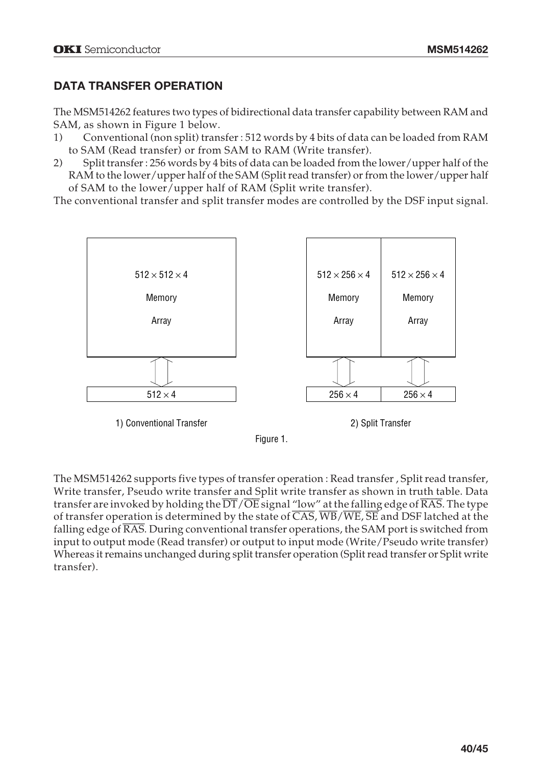# **DATA TRANSFER OPERATION**

The MSM514262 features two types of bidirectional data transfer capability between RAM and SAM, as shown in Figure 1 below.

- 1) Conventional (non split) transfer : 512 words by 4 bits of data can be loaded from RAM to SAM (Read transfer) or from SAM to RAM (Write transfer).
- 2) Split transfer : 256 words by 4 bits of data can be loaded from the lower/upper half of the RAM to the lower/upper half of the SAM (Split read transfer) or from the lower/upper half of SAM to the lower/upper half of RAM (Split write transfer).

The conventional transfer and split transfer modes are controlled by the DSF input signal.



The MSM514262 supports five types of transfer operation : Read transfer , Split read transfer, Write transfer, Pseudo write transfer and Split write transfer as shown in truth table. Data transfer are invoked by holding the  $\overline{DT}/\overline{OE}$  signal "low" at the falling edge of  $\overline{RAS}$ . The type of transfer operation is determined by the state of  $\overline{CAS}$ ,  $\overline{WB}/\overline{WE}$ ,  $\overline{SE}$  and DSF latched at the falling edge of RAS. During conventional transfer operations, the SAM port is switched from input to output mode (Read transfer) or output to input mode (Write/Pseudo write transfer) Whereas it remains unchanged during split transfer operation (Split read transfer or Split write transfer).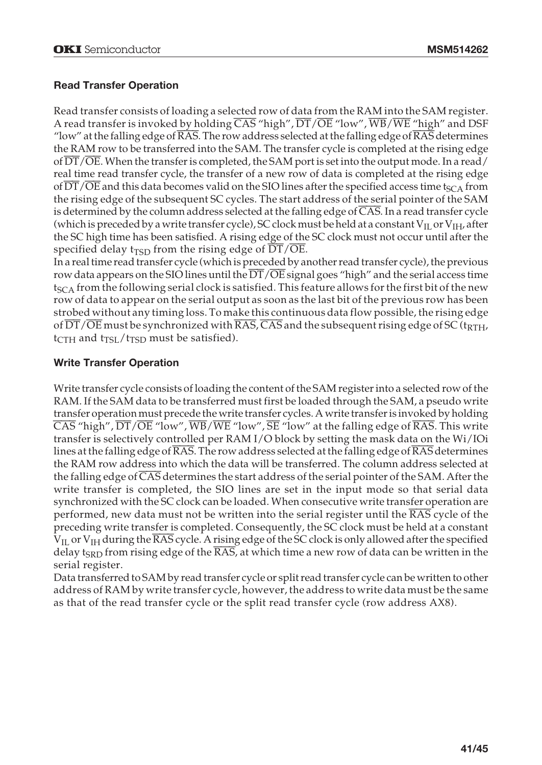## **Read Transfer Operation**

Read transfer consists of loading a selected row of data from the RAM into the SAM register. A read transfer is invoked by holding  $\overline{CAS}$  "high",  $\overline{DT}/\overline{OE}$  "low",  $\overline{WB}/\overline{WE}$  "high" and DSF "low" at the falling edge of  $\overline{\text{RAS}}$ . The row address selected at the falling edge of  $\overline{\text{RAS}}$  determines the RAM row to be transferred into the SAM. The transfer cycle is completed at the rising edge of DT/OE. When the transfer is completed, the SAM port is set into the output mode. In a read/ real time read transfer cycle, the transfer of a new row of data is completed at the rising edge of  $\overline{DT}/\overline{OE}$  and this data becomes valid on the SIO lines after the specified access time t<sub>SCA</sub> from the rising edge of the subsequent SC cycles. The start address of the serial pointer of the SAM is determined by the column address selected at the falling edge of CAS. In a read transfer cycle (which is preceded by a write transfer cycle), SC clock must be held at a constant  $V_{\rm IL}$  or  $V_{\rm IH}$ , after the SC high time has been satisfied. A rising edge of the SC clock must not occur until after the specified delay t<sub>TSD</sub> from the rising edge of  $\overline{DT}/\overline{OE}$ .

In a real time read transfer cycle (which is preceded by another read transfer cycle), the previous row data appears on the SIO lines until the DT/OE signal goes "high" and the serial access time  $t_{SCA}$  from the following serial clock is satisfied. This feature allows for the first bit of the new row of data to appear on the serial output as soon as the last bit of the previous row has been strobed without any timing loss. To make this continuous data flow possible, the rising edge of DT/OE must be synchronized with RAS, CAS and the subsequent rising edge of SC (t<sub>RTH</sub>,  $t_{\text{CTH}}$  and  $t_{\text{TSL}}/t_{\text{TSD}}$  must be satisfied).

#### **Write Transfer Operation**

Write transfer cycle consists of loading the content of the SAM register into a selected row of the RAM. If the SAM data to be transferred must first be loaded through the SAM, a pseudo write transfer operation must precede the write transfer cycles. A write transfer is invoked by holding  $\overline{\text{CAS}}$  "high",  $\overline{\text{DT}/\text{OE}}$  "low",  $\overline{\text{WB}}$  / $\overline{\text{WE}}$  "low",  $\overline{\text{SE}}$  "low" at the falling edge of  $\overline{\text{RAS}}$ . This write transfer is selectively controlled per RAM I/O block by setting the mask data on the Wi/IOi lines at the falling edge of  $\overline{\text{RAS}}$ . The row address selected at the falling edge of  $\overline{\text{RAS}}$  determines the RAM row address into which the data will be transferred. The column address selected at the falling edge of CAS determines the start address of the serial pointer of the SAM. After the write transfer is completed, the SIO lines are set in the input mode so that serial data synchronized with the SC clock can be loaded. When consecutive write transfer operation are performed, new data must not be written into the serial register until the  $\overline{\text{RAS}}$  cycle of the preceding write transfer is completed. Consequently, the SC clock must be held at a constant  $V_{II}$  or  $V_{IH}$  during the  $\overline{RAS}$  cycle. A rising edge of the SC clock is only allowed after the specified delay t<sub>SRD</sub> from rising edge of the RAS, at which time a new row of data can be written in the serial register.

Data transferred to SAM by read transfer cycle or split read transfer cycle can be written to other address of RAM by write transfer cycle, however, the address to write data must be the same as that of the read transfer cycle or the split read transfer cycle (row address AX8).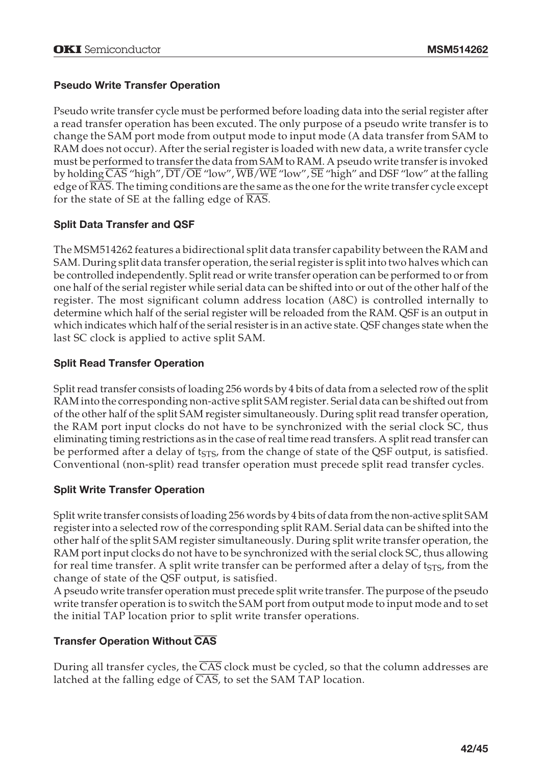# **Pseudo Write Transfer Operation**

Pseudo write transfer cycle must be performed before loading data into the serial register after a read transfer operation has been excuted. The only purpose of a pseudo write transfer is to change the SAM port mode from output mode to input mode (A data transfer from SAM to RAM does not occur). After the serial register is loaded with new data, a write transfer cycle must be performed to transfer the data from SAM to RAM. A pseudo write transfer is invoked by holding  $\overline{CAS}$  "high",  $\overline{DT}/\overline{OE}$  "low",  $\overline{WB}/\overline{WE}$  "low",  $\overline{SE}$  "high" and DSF "low" at the falling edge of  $\overline{\text{RAS}}$ . The timing conditions are the same as the one for the write transfer cycle except for the state of SE at the falling edge of  $\overline{RAS}$ .

# **Split Data Transfer and QSF**

The MSM514262 features a bidirectional split data transfer capability between the RAM and SAM. During split data transfer operation, the serial register is split into two halves which can be controlled independently. Split read or write transfer operation can be performed to or from one half of the serial register while serial data can be shifted into or out of the other half of the register. The most significant column address location (A8C) is controlled internally to determine which half of the serial register will be reloaded from the RAM. QSF is an output in which indicates which half of the serial resister is in an active state. QSF changes state when the last SC clock is applied to active split SAM.

# **Split Read Transfer Operation**

Split read transfer consists of loading 256 words by 4 bits of data from a selected row of the split RAM into the corresponding non-active split SAM register. Serial data can be shifted out from of the other half of the split SAM register simultaneously. During split read transfer operation, the RAM port input clocks do not have to be synchronized with the serial clock SC, thus eliminating timing restrictions as in the case of real time read transfers. A split read transfer can be performed after a delay of  $t_{STS}$ , from the change of state of the QSF output, is satisfied. Conventional (non-split) read transfer operation must precede split read transfer cycles.

# **Split Write Transfer Operation**

Split write transfer consists of loading 256 words by 4 bits of data from the non-active split SAM register into a selected row of the corresponding split RAM. Serial data can be shifted into the other half of the split SAM register simultaneously. During split write transfer operation, the RAM port input clocks do not have to be synchronized with the serial clock SC, thus allowing for real time transfer. A split write transfer can be performed after a delay of  $t_{STS}$ , from the change of state of the QSF output, is satisfied.

A pseudo write transfer operation must precede split write transfer. The purpose of the pseudo write transfer operation is to switch the SAM port from output mode to input mode and to set the initial TAP location prior to split write transfer operations.

# **Transfer Operation Without** CAS

During all transfer cycles, the  $\overline{CAS}$  clock must be cycled, so that the column addresses are latched at the falling edge of CAS, to set the SAM TAP location.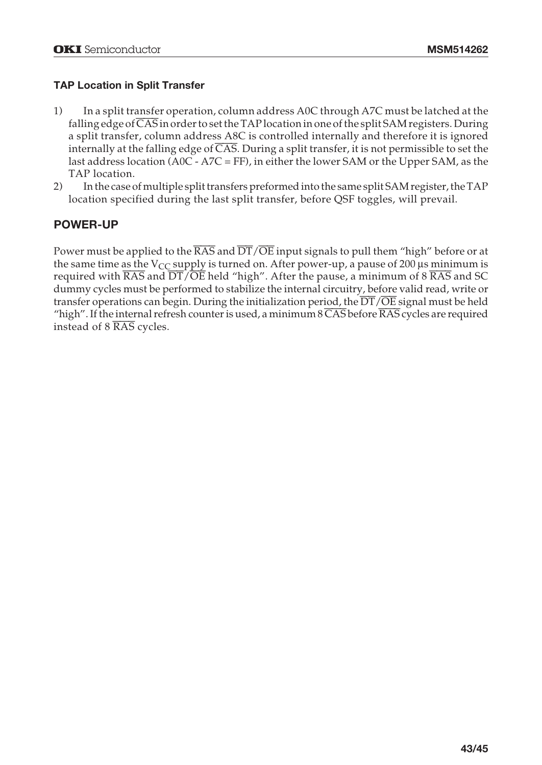# **TAP Location in Split Transfer**

- 1) In a split transfer operation, column address A0C through A7C must be latched at the falling edge of  $\overline{CAS}$  in order to set the TAP location in one of the split SAM registers. During a split transfer, column address A8C is controlled internally and therefore it is ignored internally at the falling edge of  $\overline{CAS}$ . During a split transfer, it is not permissible to set the last address location (A0C - A7C = FF), in either the lower SAM or the Upper SAM, as the TAP location.
- 2) In the case of multiple split transfers preformed into the same split SAM register, the TAP location specified during the last split transfer, before QSF toggles, will prevail.

# **POWER-UP**

Power must be applied to the RAS and DT/OE input signals to pull them "high" before or at the same time as the  $V_{CC}$  supply is turned on. After power-up, a pause of 200  $\mu$ s minimum is required with  $\overline{\text{RAS}}$  and  $\overline{\text{DT}}/\overline{\text{OE}}$  held "high". After the pause, a minimum of 8  $\overline{\text{RAS}}$  and SC dummy cycles must be performed to stabilize the internal circuitry, before valid read, write or transfer operations can begin. During the initialization period, the DT/OE signal must be held "high". If the internal refresh counter is used, a minimum 8 CAS before RAS cycles are required instead of 8 RAS cycles.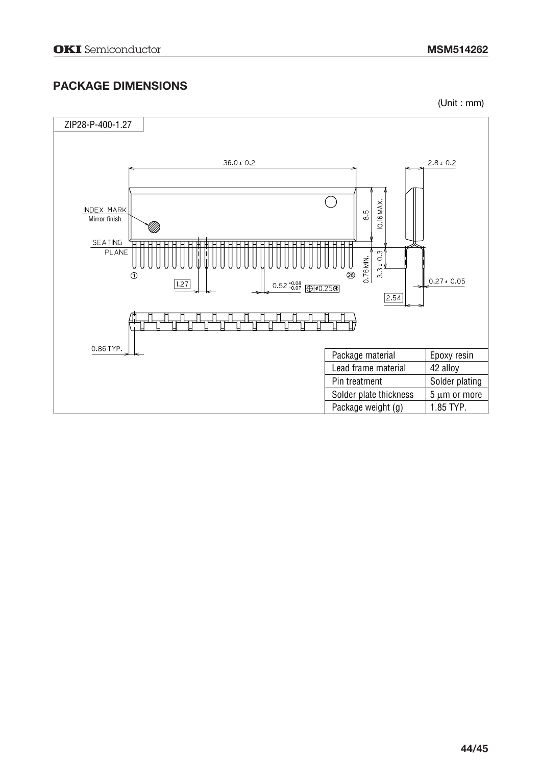# **PACKAGE DIMENSIONS**

(Unit : mm)